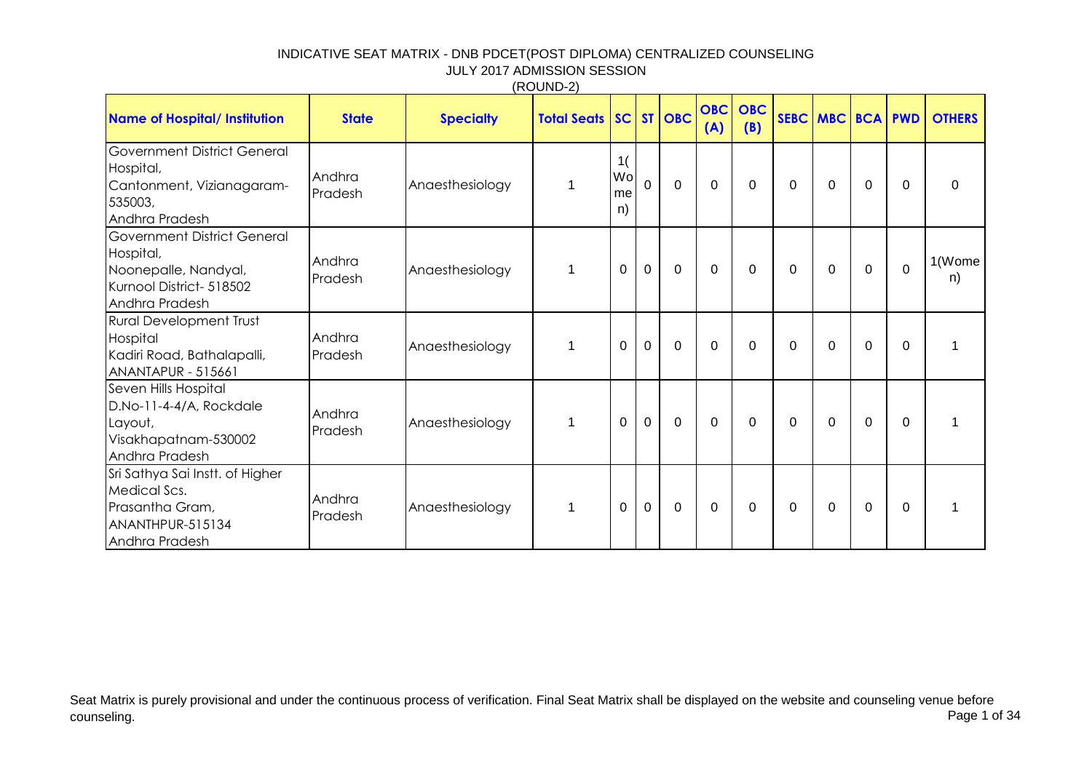|                                                                                                                       |                   |                  | (100112)                  |                       |                |                |                   |                   |             |                     |              |              |               |
|-----------------------------------------------------------------------------------------------------------------------|-------------------|------------------|---------------------------|-----------------------|----------------|----------------|-------------------|-------------------|-------------|---------------------|--------------|--------------|---------------|
| <b>Name of Hospital/ Institution</b>                                                                                  | <b>State</b>      | <b>Specialty</b> | <b>Total Seats   SC  </b> |                       |                | ST OBC         | <b>OBC</b><br>(A) | <b>OBC</b><br>(B) |             | <b>SEBC MBC BCA</b> |              | <b>PWD</b>   | <b>OTHERS</b> |
| Government District General<br>Hospital,<br>Cantonment, Vizianagaram-<br>535003,<br>Andhra Pradesh                    | Andhra<br>Pradesh | Anaesthesiology  | $\mathbf 1$               | 1(<br>Wol<br>me<br>n) | $\Omega$       | $\overline{0}$ | $\Omega$          | $\mathbf{0}$      | 0           | $\Omega$            | $\mathbf{0}$ | $\Omega$     | $\Omega$      |
| <b>Government District General</b><br>Hospital,<br>Noonepalle, Nandyal,<br>Kurnool District- 518502<br>Andhra Pradesh | Andhra<br>Pradesh | Anaesthesiology  | $\mathbf{1}$              | 0                     | $\overline{0}$ | $\mathbf 0$    | $\Omega$          | $\mathbf{0}$      | $\mathbf 0$ | $\mathbf 0$         | $\mathbf 0$  | $\Omega$     | 1(Wome<br>n)  |
| <b>Rural Development Trust</b><br>Hospital<br>Kadiri Road, Bathalapalli,<br><b>ANANTAPUR - 515661</b>                 | Andhra<br>Pradesh | Anaesthesiology  | $\mathbf{1}$              | 0                     | $\mathbf 0$    | $\mathbf{0}$   | $\Omega$          | $\mathbf{0}$      | 0           | $\Omega$            | $\Omega$     | $\mathbf{0}$ | 1             |
| Seven Hills Hospital<br>D.No-11-4-4/A, Rockdale<br>Layout,<br>Visakhapatnam-530002<br>Andhra Pradesh                  | Andhra<br>Pradesh | Anaesthesiology  | $\mathbf{1}$              | $\overline{0}$        | $\mathbf 0$    | $\mathbf 0$    | $\Omega$          | $\mathbf{0}$      | $\mathbf 0$ | $\mathbf 0$         | $\Omega$     | $\Omega$     |               |
| Sri Sathya Sai Instt. of Higher<br>Medical Scs.<br>Prasantha Gram,<br>ANANTHPUR-515134<br>Andhra Pradesh              | Andhra<br>Pradesh | Anaesthesiology  | $\mathbf{1}$              | $\overline{0}$        | $\mathbf 0$    | $\mathbf 0$    | $\Omega$          | $\mathbf{0}$      | $\mathbf 0$ | $\mathbf 0$         | $\Omega$     | $\mathbf{0}$ |               |

 $(RO$ UND-2)

Seat Matrix is purely provisional and under the continuous process of verification. Final Seat Matrix shall be displayed on the website and counseling venue before<br>Page 1 of 34 counseling. Page 1 of 34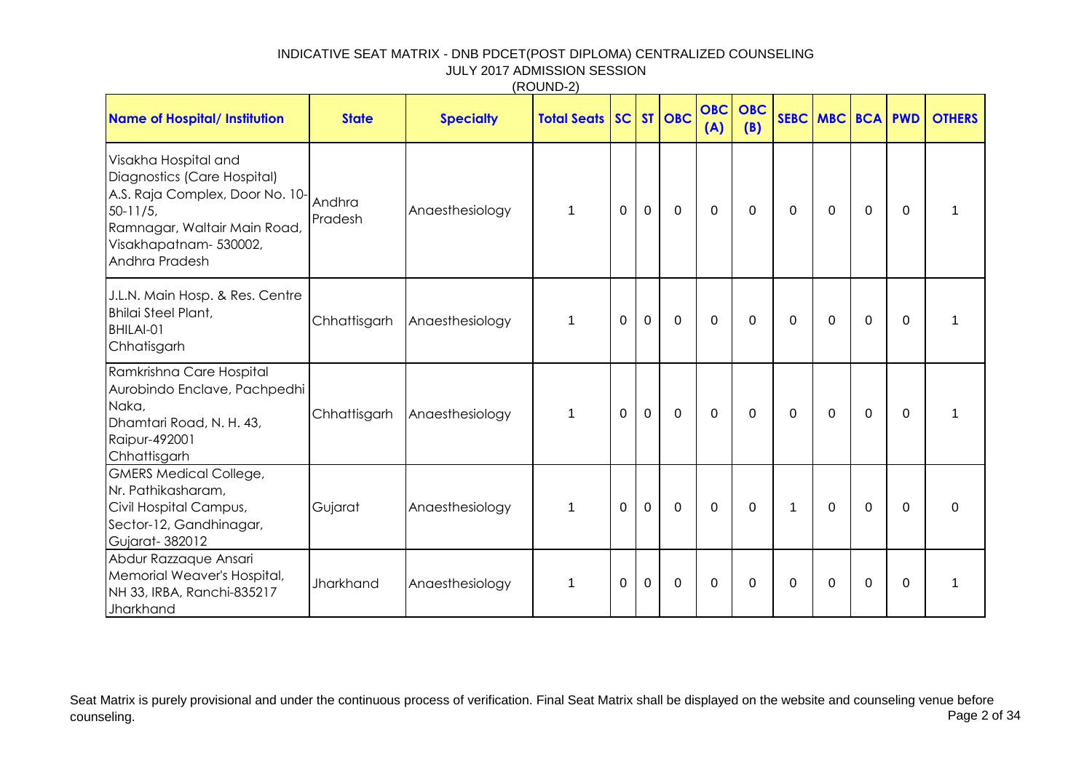(ROUND-2)

| <b>Name of Hospital/ Institution</b>                                                                                                                                             | <b>State</b>      | <b>Specialty</b> | <b>Total Seats SC</b> |                |                | ST OBC      | <b>OBC</b><br>(A) | <b>OBC</b><br>(B) |                | <b>SEBC MBC BCA PWD</b> |          |              | <b>OTHERS</b> |
|----------------------------------------------------------------------------------------------------------------------------------------------------------------------------------|-------------------|------------------|-----------------------|----------------|----------------|-------------|-------------------|-------------------|----------------|-------------------------|----------|--------------|---------------|
| Visakha Hospital and<br>Diagnostics (Care Hospital)<br>A.S. Raja Complex, Door No. 10-<br>$50-11/5$ ,<br>Ramnagar, Waltair Main Road,<br>Visakhapatnam-530002,<br>Andhra Pradesh | Andhra<br>Pradesh | Anaesthesiology  | $\mathbf{1}$          | $\overline{0}$ | $\mathbf 0$    | $\mathbf 0$ | $\Omega$          | $\Omega$          | $\mathbf 0$    | $\Omega$                | $\Omega$ | $\mathbf{0}$ |               |
| J.L.N. Main Hosp. & Res. Centre<br><b>Bhilai Steel Plant,</b><br>BHILAI-01<br>Chhatisgarh                                                                                        | Chhattisgarh      | Anaesthesiology  | $\mathbf{1}$          | $\overline{0}$ | $\mathbf 0$    | $\mathbf 0$ | $\Omega$          | $\Omega$          | $\mathbf 0$    | $\Omega$                | $\Omega$ | $\Omega$     | 1             |
| Ramkrishna Care Hospital<br>Aurobindo Enclave, Pachpedhi<br>Naka,<br>Dhamtari Road, N. H. 43,<br>Raipur-492001<br>Chhattisgarh                                                   | Chhattisgarh      | Anaesthesiology  | $\mathbf{1}$          | $\mathbf 0$    | $\overline{0}$ | $\mathbf 0$ | $\mathbf 0$       | 0                 | $\overline{0}$ | $\mathbf 0$             | 0        | $\mathbf{0}$ | 1             |
| <b>GMERS Medical College,</b><br>Nr. Pathikasharam,<br>Civil Hospital Campus,<br>Sector-12, Gandhinagar,<br>Gujarat-382012                                                       | Gujarat           | Anaesthesiology  | 1                     | $\mathbf 0$    | $\mathbf{0}$   | $\mathbf 0$ | $\Omega$          | $\Omega$          | $\mathbf 1$    | $\Omega$                | $\Omega$ | $\mathbf{0}$ | $\Omega$      |
| Abdur Razzaque Ansari<br>Memorial Weaver's Hospital,<br>NH 33, IRBA, Ranchi-835217<br>Jharkhand                                                                                  | Jharkhand         | Anaesthesiology  | $\mathbf{1}$          | 0              | $\mathbf 0$    | $\mathbf 0$ | $\Omega$          | $\Omega$          | $\mathbf 0$    | $\Omega$                | $\Omega$ | $\mathbf{0}$ | $\mathbf{1}$  |

Seat Matrix is purely provisional and under the continuous process of verification. Final Seat Matrix shall be displayed on the website and counseling venue before<br>Page 2 of 34 counseling. Page 2 of 34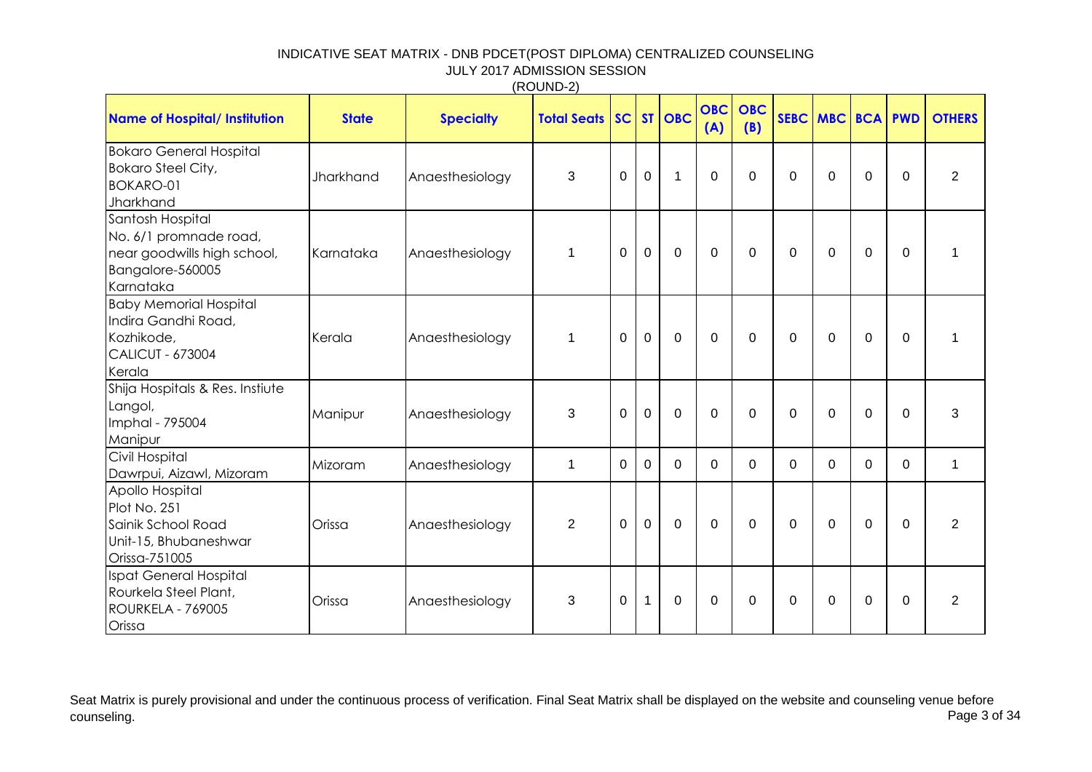| <b>Name of Hospital/ Institution</b>                                                                       | <b>State</b> | <b>Specialty</b> | <b>Total Seats   SC   ST   OBC</b> |                |                |              | <b>OBC</b><br>(A) | <b>OBC</b><br>(B) |             | <b>SEBC MBC BCA PWD</b> |             |             | <b>OTHERS</b>  |
|------------------------------------------------------------------------------------------------------------|--------------|------------------|------------------------------------|----------------|----------------|--------------|-------------------|-------------------|-------------|-------------------------|-------------|-------------|----------------|
| <b>Bokaro General Hospital</b><br><b>Bokaro Steel City,</b><br><b>BOKARO-01</b><br>Jharkhand               | Jharkhand    | Anaesthesiology  | 3                                  | $\mathbf 0$    | $\mathbf 0$    | $\mathbf{1}$ | $\Omega$          | $\Omega$          | $\mathbf 0$ | $\Omega$                | $\mathbf 0$ | $\Omega$    | $\overline{2}$ |
| Santosh Hospital<br>No. 6/1 promnade road,<br>near goodwills high school,<br>Bangalore-560005<br>Karnataka | Karnataka    | Anaesthesiology  | $\mathbf{1}$                       | $\mathbf 0$    | 0              | $\mathbf 0$  | $\Omega$          | $\Omega$          | 0           | $\Omega$                | $\mathbf 0$ | $\Omega$    | $\mathbf 1$    |
| <b>Baby Memorial Hospital</b><br>Indira Gandhi Road,<br>Kozhikode,<br><b>CALICUT - 673004</b><br>Kerala    | Kerala       | Anaesthesiology  | $\mathbf{1}$                       | $\Omega$       | $\mathbf 0$    | $\Omega$     | $\Omega$          | $\Omega$          | $\Omega$    | $\Omega$                | $\Omega$    | $\Omega$    | $\mathbf{1}$   |
| Shija Hospitals & Res. Instiute<br>Langol,<br>Imphal - 795004<br>Manipur                                   | Manipur      | Anaesthesiology  | 3                                  | $\Omega$       | $\mathbf 0$    | $\Omega$     | $\Omega$          | $\Omega$          | $\Omega$    | $\Omega$                | $\Omega$    | $\Omega$    | 3              |
| Civil Hospital<br>Dawrpui, Aizawl, Mizoram                                                                 | Mizoram      | Anaesthesiology  | 1                                  | $\mathbf 0$    | $\overline{0}$ | $\mathbf 0$  | $\Omega$          | $\mathbf 0$       | $\Omega$    | 0                       | $\Omega$    | $\Omega$    | $\mathbf{1}$   |
| Apollo Hospital<br>Plot No. 251<br>Sainik School Road<br>Unit-15, Bhubaneshwar<br>Orissa-751005            | Orissa       | Anaesthesiology  | $\overline{2}$                     | $\overline{0}$ | $\mathbf{0}$   | $\mathbf 0$  | $\mathbf 0$       | $\mathbf 0$       | $\mathbf 0$ | $\Omega$                | $\mathbf 0$ | $\mathbf 0$ | $\overline{2}$ |
| Ispat General Hospital<br>Rourkela Steel Plant,<br><b>ROURKELA - 769005</b><br>Orissa                      | Orissa       | Anaesthesiology  | 3                                  | $\mathbf 0$    | $\mathbf{1}$   | $\mathbf 0$  | $\mathbf 0$       | $\mathbf 0$       | 0           | $\Omega$                | $\mathbf 0$ | $\mathbf 0$ | $\overline{2}$ |

Seat Matrix is purely provisional and under the continuous process of verification. Final Seat Matrix shall be displayed on the website and counseling venue before<br>Page 3 of 34 counseling. Page 3 of 34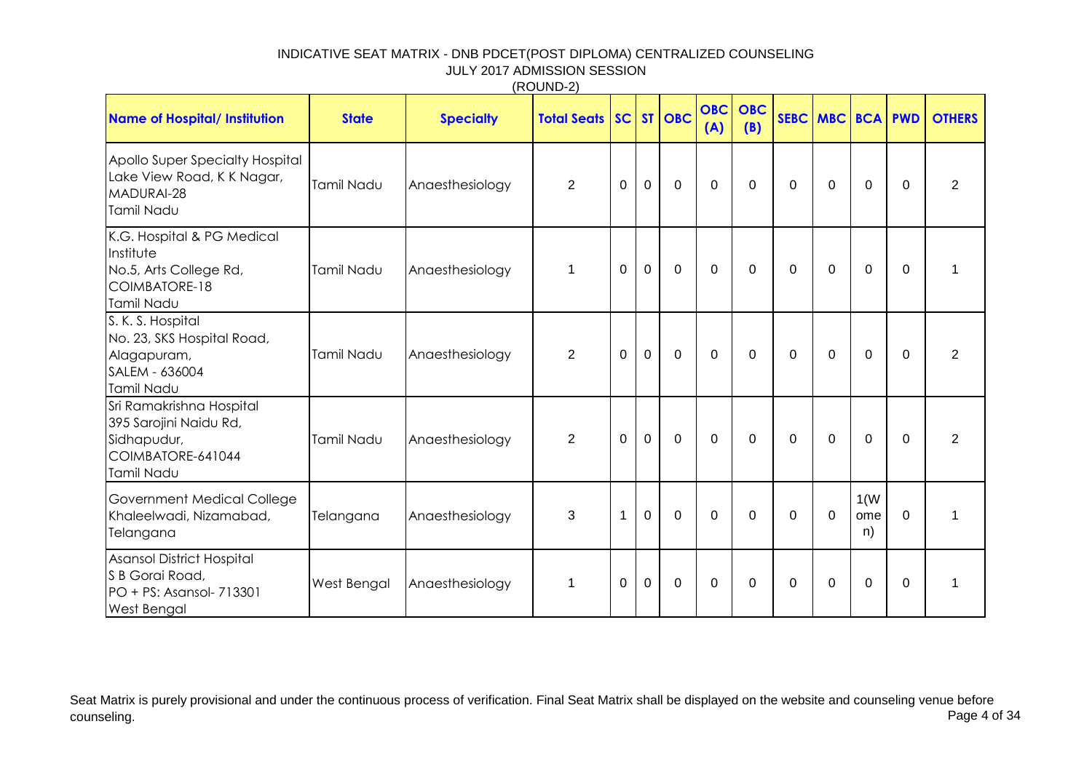|                                                                                                             |              |                  | (1001122)             |             |             |             |                   |                   |             |             |                   |            |                |
|-------------------------------------------------------------------------------------------------------------|--------------|------------------|-----------------------|-------------|-------------|-------------|-------------------|-------------------|-------------|-------------|-------------------|------------|----------------|
| <b>Name of Hospital/ Institution</b>                                                                        | <b>State</b> | <b>Specialty</b> | <b>Total Seats SC</b> |             |             | ST   OBC    | <b>OBC</b><br>(A) | <b>OBC</b><br>(B) |             | SEBC MBC    | <b>BCA</b>        | <b>PWD</b> | <b>OTHERS</b>  |
| Apollo Super Specialty Hospital<br>Lake View Road, K K Nagar,<br>MADURAI-28<br>Tamil Nadu                   | Tamil Nadu   | Anaesthesiology  | $\overline{2}$        | $\mathbf 0$ | 0           | $\mathbf 0$ | $\mathbf 0$       | $\overline{0}$    | 0           | $\mathbf 0$ | $\mathbf 0$       | $\Omega$   | $\overline{2}$ |
| K.G. Hospital & PG Medical<br>Institute<br>No.5, Arts College Rd,<br>COIMBATORE-18<br>Tamil Nadu            | Tamil Nadu   | Anaesthesiology  | $\mathbf 1$           | $\mathbf 0$ | $\mathbf 0$ | $\mathbf 0$ | $\mathbf 0$       | $\mathbf 0$       | $\Omega$    | $\Omega$    | $\mathbf 0$       | $\Omega$   | $\mathbf{1}$   |
| S. K. S. Hospital<br>No. 23, SKS Hospital Road,<br>Alagapuram,<br>SALEM - 636004<br>Tamil Nadu              | Tamil Nadu   | Anaesthesiology  | $\overline{2}$        | $\mathbf 0$ | $\mathbf 0$ | $\mathbf 0$ | $\mathbf 0$       | $\mathbf 0$       | $\mathbf 0$ | $\mathbf 0$ | $\mathbf 0$       | $\Omega$   | $\overline{2}$ |
| Sri Ramakrishna Hospital<br>395 Sarojini Naidu Rd,<br>Sidhapudur,<br>COIMBATORE-641044<br><b>Tamil Nadu</b> | Tamil Nadu   | Anaesthesiology  | $\overline{2}$        | $\mathbf 0$ | $\mathbf 0$ | $\mathbf 0$ | $\mathbf 0$       | $\mathbf{0}$      | 0           | $\Omega$    | $\Omega$          | $\Omega$   | $\overline{2}$ |
| Government Medical College<br>Khaleelwadi, Nizamabad,<br>Telangana                                          | Telangana    | Anaesthesiology  | 3                     | $\mathbf 1$ | $\mathbf 0$ | $\mathbf 0$ | $\Omega$          | $\Omega$          | $\Omega$    | $\Omega$    | 1(W)<br>ome<br>n) | $\Omega$   | $\mathbf{1}$   |
| Asansol District Hospital<br>S B Gorai Road,<br>PO + PS: Asansol- 713301<br><b>West Bengal</b>              | West Bengal  | Anaesthesiology  | $\mathbf 1$           | $\Omega$    | 0           | $\mathbf 0$ | $\mathbf 0$       | $\Omega$          | 0           | $\Omega$    | $\Omega$          | $\Omega$   | 1              |

Seat Matrix is purely provisional and under the continuous process of verification. Final Seat Matrix shall be displayed on the website and counseling venue before<br>Page 4 of 34 counseling. Page 4 of 34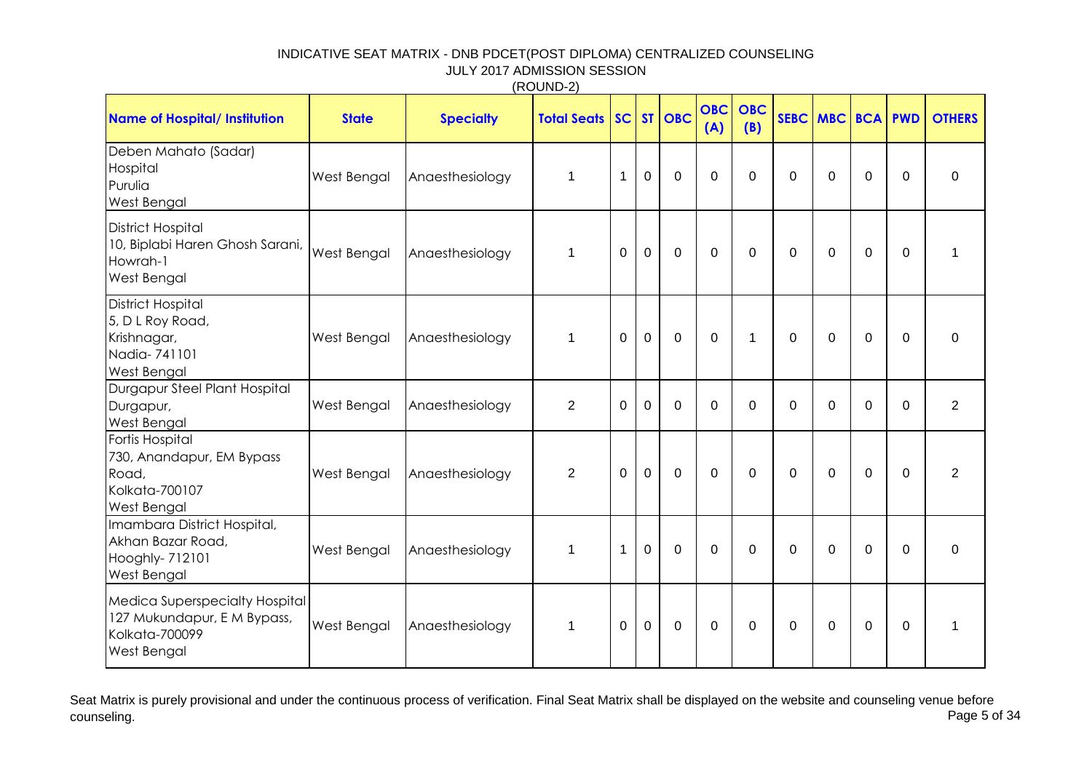|                                                                                                |                    |                  | (1001122)          |                |              |                |                   |                   |                |             |                |             |                |
|------------------------------------------------------------------------------------------------|--------------------|------------------|--------------------|----------------|--------------|----------------|-------------------|-------------------|----------------|-------------|----------------|-------------|----------------|
| <b>Name of Hospital/ Institution</b>                                                           | <b>State</b>       | <b>Specialty</b> | <b>Total Seats</b> | SC             |              | ST   OBC       | <b>OBC</b><br>(A) | <b>OBC</b><br>(B) | SEBC MBC       |             | <b>BCA PWD</b> |             | <b>OTHERS</b>  |
| Deben Mahato (Sadar)<br>Hospital<br>Purulia<br>West Bengal                                     | West Bengal        | Anaesthesiology  | $\mathbf{1}$       | $\mathbf{1}$   | $\mathbf 0$  | $\overline{0}$ | $\mathbf 0$       | $\mathbf 0$       | $\mathbf 0$    | $\Omega$    | $\mathbf 0$    | $\mathbf 0$ | $\mathbf 0$    |
| <b>District Hospital</b><br>10, Biplabi Haren Ghosh Sarani,<br>Howrah-1<br>West Bengal         | <b>West Bengal</b> | Anaesthesiology  | $\mathbf{1}$       | $\Omega$       | $\mathbf{0}$ | $\mathbf 0$    | $\mathbf 0$       | $\mathbf 0$       | $\mathbf 0$    | $\Omega$    | $\mathbf 0$    | $\Omega$    | $\mathbf 1$    |
| <b>District Hospital</b><br>5, D L Roy Road,<br>Krishnagar,<br>Nadia-741101<br>West Bengal     | West Bengal        | Anaesthesiology  | $\mathbf{1}$       | $\Omega$       | $\mathbf 0$  | $\mathbf 0$    | $\Omega$          | $\mathbf 1$       | $\Omega$       | $\Omega$    | $\Omega$       | $\Omega$    | $\Omega$       |
| Durgapur Steel Plant Hospital<br>Durgapur,<br>West Bengal                                      | West Bengal        | Anaesthesiology  | $\overline{2}$     | $\Omega$       | $\Omega$     | $\Omega$       | $\Omega$          | $\Omega$          | $\Omega$       | $\Omega$    | $\Omega$       | $\Omega$    | $\overline{2}$ |
| Fortis Hospital<br>730, Anandapur, EM Bypass<br>Road,<br>Kolkata-700107<br>West Bengal         | West Bengal        | Anaesthesiology  | $\overline{2}$     | $\overline{0}$ | $\mathbf 0$  | $\mathbf 0$    | $\mathbf 0$       | $\mathbf 0$       | $\overline{0}$ | $\mathbf 0$ | $\mathbf 0$    | $\Omega$    | $\overline{2}$ |
| Imambara District Hospital,<br>Akhan Bazar Road,<br>Hooghly- 712101<br>West Bengal             | West Bengal        | Anaesthesiology  | $\mathbf{1}$       | $\mathbf{1}$   | $\mathbf 0$  | $\overline{0}$ | $\mathbf 0$       | $\mathbf 0$       | $\overline{0}$ | $\mathbf 0$ | $\mathbf 0$    | $\mathbf 0$ | $\mathbf 0$    |
| Medica Superspecialty Hospital<br>127 Mukundapur, E M Bypass,<br>Kolkata-700099<br>West Bengal | West Bengal        | Anaesthesiology  | $\mathbf{1}$       | $\Omega$       | $\mathbf 0$  | $\mathbf 0$    | $\Omega$          | $\mathbf 0$       | 0              | $\Omega$    | 0              | $\Omega$    | $\mathbf 1$    |

Seat Matrix is purely provisional and under the continuous process of verification. Final Seat Matrix shall be displayed on the website and counseling venue before<br>Page 5 of 34 counseling. Page 5 of 34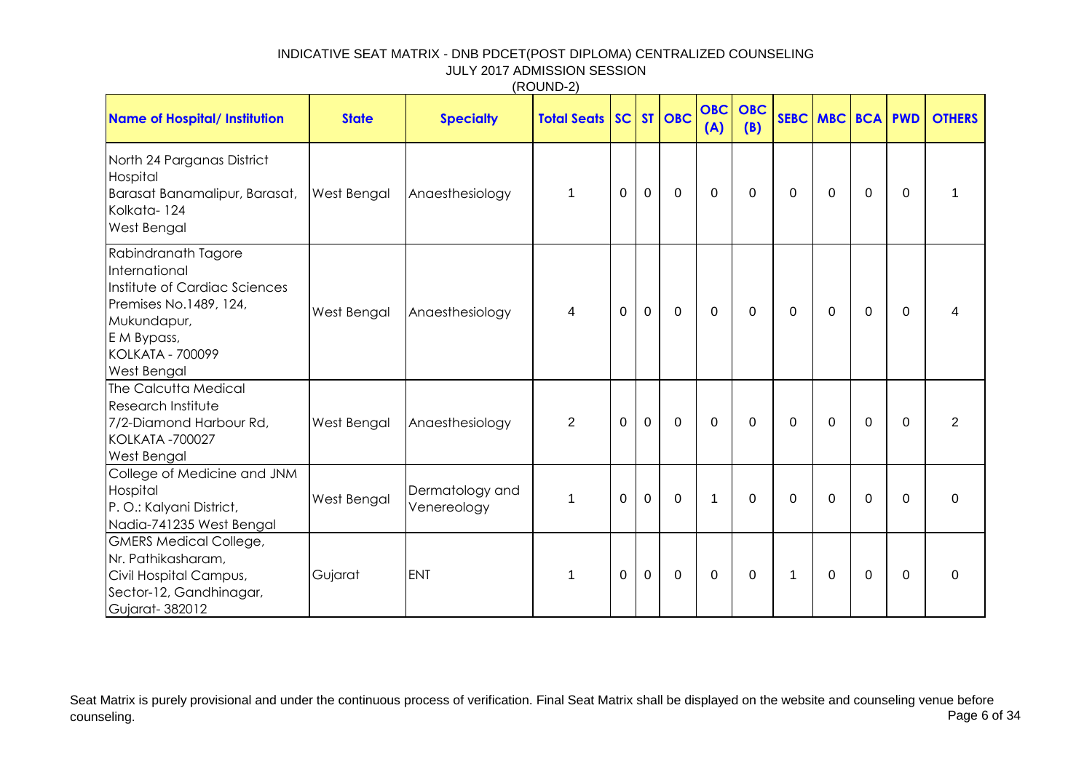| <b>Name of Hospital/ Institution</b>                                                                                                                                    | <b>State</b> | <b>Specialty</b>               | <b>Total Seats   SC  </b> |                |                | ST OBC         | OBC<br>(A)  | <b>OBC</b><br>(B) |                | <b>SEBC MBC BCA PWD</b> |                |          | <b>OTHERS</b>  |
|-------------------------------------------------------------------------------------------------------------------------------------------------------------------------|--------------|--------------------------------|---------------------------|----------------|----------------|----------------|-------------|-------------------|----------------|-------------------------|----------------|----------|----------------|
| North 24 Parganas District<br>Hospital<br>Barasat Banamalipur, Barasat,<br>Kolkata-124<br>West Bengal                                                                   | West Bengal  | Anaesthesiology                | $\mathbf{1}$              | $\mathbf 0$    | $\mathbf 0$    | $\mathbf 0$    | $\mathbf 0$ | $\mathbf 0$       | 0              | $\overline{0}$          | $\mathbf 0$    | $\Omega$ | 1              |
| Rabindranath Tagore<br>International<br>Institute of Cardiac Sciences<br>Premises No.1489, 124,<br>Mukundapur,<br>E M Bypass,<br><b>KOLKATA - 700099</b><br>West Bengal | West Bengal  | Anaesthesiology                | $\overline{4}$            | $\overline{0}$ | $\overline{0}$ | $\mathbf 0$    | $\Omega$    | $\Omega$          | 0              | $\Omega$                | $\Omega$       | $\Omega$ | 4              |
| The Calcutta Medical<br>Research Institute<br>7/2-Diamond Harbour Rd,<br><b>KOLKATA -700027</b><br>West Bengal                                                          | West Bengal  | Anaesthesiology                | $\overline{2}$            | $\mathbf{0}$   | $\mathbf 0$    | $\mathbf 0$    | $\Omega$    | $\Omega$          | $\Omega$       | 0                       | $\Omega$       | $\Omega$ | $\overline{2}$ |
| College of Medicine and JNM<br>Hospital<br>P. O.: Kalyani District,<br>Nadia-741235 West Bengal                                                                         | West Bengal  | Dermatology and<br>Venereology | $\mathbf{1}$              | $\overline{0}$ | $\overline{0}$ | $\overline{0}$ | 1           | $\mathbf 0$       | $\overline{0}$ | $\overline{0}$          | $\overline{0}$ | $\Omega$ | $\mathbf 0$    |
| <b>GMERS Medical College,</b><br>Nr. Pathikasharam,<br>Civil Hospital Campus,<br>Sector-12, Gandhinagar,<br>Gujarat-382012                                              | Gujarat      | <b>ENT</b>                     | 1                         | $\mathbf 0$    | $\mathbf 0$    | $\mathbf 0$    | $\Omega$    | $\mathbf{0}$      | $\mathbf{1}$   | $\Omega$                | 0              | $\Omega$ | 0              |

Seat Matrix is purely provisional and under the continuous process of verification. Final Seat Matrix shall be displayed on the website and counseling venue before<br>Page 6 of 34 counseling. Page 6 of 34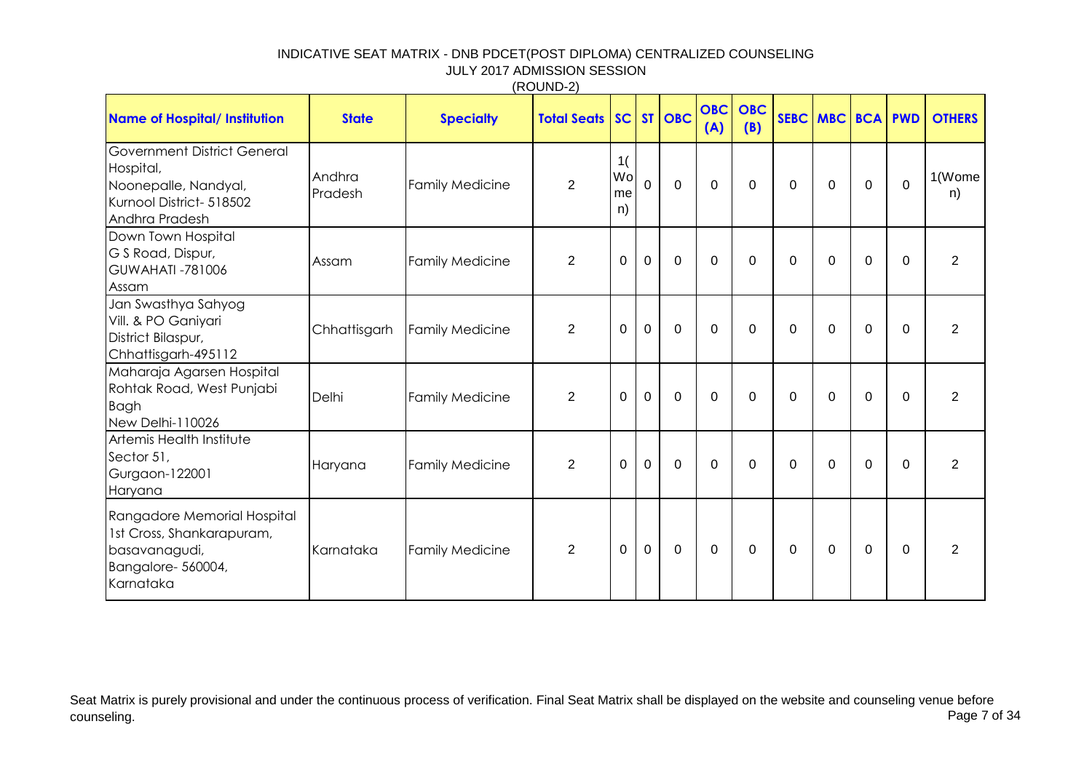| <b>Name of Hospital/ Institution</b>                                                                           | <b>State</b>      | <b>Specialty</b>       | (1001102)<br><b>Total Seats SC ST OBC</b> |                      |              |                | <b>OBC</b><br>(A) | <b>OBC</b><br>(B) |             | SEBC MBC BCA PWD |             |                | <b>OTHERS</b>  |
|----------------------------------------------------------------------------------------------------------------|-------------------|------------------------|-------------------------------------------|----------------------|--------------|----------------|-------------------|-------------------|-------------|------------------|-------------|----------------|----------------|
| Government District General<br>Hospital,<br>Noonepalle, Nandyal,<br>Kurnool District- 518502<br>Andhra Pradesh | Andhra<br>Pradesh | <b>Family Medicine</b> | $\overline{2}$                            | 1(<br>Wo<br>me<br>n) | $\Omega$     | $\overline{0}$ | $\mathbf 0$       | $\Omega$          | $\mathbf 0$ | $\Omega$         | $\mathbf 0$ | $\overline{0}$ | 1(Wome<br>n)   |
| Down Town Hospital<br>G S Road, Dispur,<br><b>GUWAHATI -781006</b><br>Assam                                    | Assam             | <b>Family Medicine</b> | $\overline{2}$                            | $\mathbf 0$          | $\mathbf{0}$ | $\mathbf 0$    | $\Omega$          | $\mathbf 0$       | 0           | $\Omega$         | $\mathbf 0$ | $\mathbf 0$    | 2              |
| Jan Swasthya Sahyog<br>Vill. & PO Ganiyari<br>District Bilaspur,<br>Chhattisgarh-495112                        | Chhattisgarh      | <b>Family Medicine</b> | $\overline{2}$                            | $\mathbf{0}$         | $\mathbf 0$  | $\mathbf 0$    | $\Omega$          | $\Omega$          | 0           | $\Omega$         | $\mathbf 0$ | $\mathbf 0$    | 2              |
| Maharaja Agarsen Hospital<br>Rohtak Road, West Punjabi<br><b>Bagh</b><br>New Delhi-110026                      | Delhi             | <b>Family Medicine</b> | $\overline{2}$                            | $\mathbf 0$          | $\mathbf 0$  | $\overline{0}$ | $\Omega$          | $\mathbf 0$       | $\mathbf 0$ | $\Omega$         | $\mathbf 0$ | $\mathbf 0$    | 2              |
| Artemis Health Institute<br>Sector 51,<br>Gurgaon-122001<br>Haryana                                            | Haryana           | <b>Family Medicine</b> | $\overline{2}$                            | $\mathbf 0$          | $\mathbf 0$  | $\overline{0}$ | $\mathbf 0$       | $\mathbf 0$       | $\mathbf 0$ | $\mathbf 0$      | $\mathbf 0$ | $\overline{0}$ | $\overline{2}$ |
| Rangadore Memorial Hospital<br>1st Cross, Shankarapuram,<br>basavanagudi,<br>Bangalore-560004,<br>Karnataka    | Karnataka         | <b>Family Medicine</b> | $\overline{2}$                            | $\mathbf 0$          | $\mathbf 0$  | $\mathbf 0$    | $\mathbf 0$       | $\mathbf 0$       | 0           | 0                | $\mathbf 0$ | $\Omega$       | 2              |

 $(RO$ UND-2)

Seat Matrix is purely provisional and under the continuous process of verification. Final Seat Matrix shall be displayed on the website and counseling venue before<br>Page 7 of 34 counseling. Page 7 of 34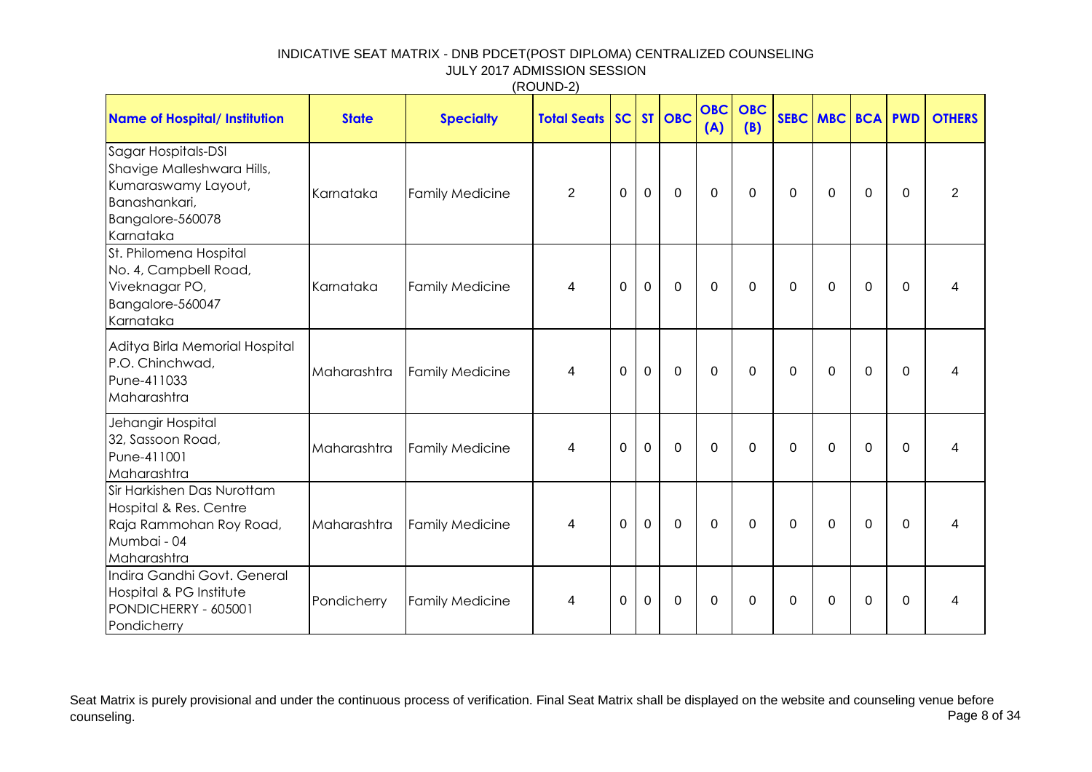|                                                                                                                            |              |                        | (1100110E)         |             |              |             |                   |                   |             |                  |                |             |                |
|----------------------------------------------------------------------------------------------------------------------------|--------------|------------------------|--------------------|-------------|--------------|-------------|-------------------|-------------------|-------------|------------------|----------------|-------------|----------------|
| <b>Name of Hospital/ Institution</b>                                                                                       | <b>State</b> | <b>Specialty</b>       | <b>Total Seats</b> | SC          |              | ST   OBC    | <b>OBC</b><br>(A) | <b>OBC</b><br>(B) |             | SEBC MBC BCA PWD |                |             | <b>OTHERS</b>  |
| Sagar Hospitals-DSI<br>Shavige Malleshwara Hills,<br>Kumaraswamy Layout,<br>Banashankari,<br>Bangalore-560078<br>Karnataka | Karnataka    | <b>Family Medicine</b> | $\overline{2}$     | 0           | $\mathbf 0$  | $\mathbf 0$ | $\mathbf 0$       | $\mathbf 0$       | 0           | $\Omega$         | $\mathbf 0$    | 0           | $\overline{2}$ |
| St. Philomena Hospital<br>No. 4, Campbell Road,<br>Viveknagar PO,<br>Bangalore-560047<br>Karnataka                         | Karnataka    | <b>Family Medicine</b> | 4                  | 0           | $\mathbf 0$  | $\mathbf 0$ | $\mathbf 0$       | $\mathbf 0$       | 0           | $\Omega$         | $\mathbf 0$    | $\mathbf 0$ | 4              |
| Aditya Birla Memorial Hospital<br>P.O. Chinchwad,<br>Pune-411033<br>Maharashtra                                            | Maharashtra  | <b>Family Medicine</b> | 4                  | $\Omega$    | $\mathbf{0}$ | $\mathbf 0$ | $\Omega$          | $\mathbf 0$       | 0           | $\Omega$         | $\overline{0}$ | $\Omega$    | 4              |
| Jehangir Hospital<br>32, Sassoon Road,<br>Pune-411001<br>Maharashtra                                                       | Maharashtra  | <b>Family Medicine</b> | 4                  | 0           | 0            | $\mathbf 0$ | $\Omega$          | $\mathbf 0$       | $\Omega$    | $\Omega$         | $\Omega$       | $\Omega$    | 4              |
| Sir Harkishen Das Nurottam<br>Hospital & Res. Centre<br>Raja Rammohan Roy Road,<br>Mumbai - 04<br>Maharashtra              | Maharashtra  | <b>Family Medicine</b> | 4                  | $\mathbf 0$ | $\mathbf 0$  | $\mathbf 0$ | $\mathbf 0$       | $\mathbf 0$       | $\mathbf 0$ | $\mathbf 0$      | $\mathbf 0$    | $\mathbf 0$ | 4              |
| Indira Gandhi Govt. General<br>Hospital & PG Institute<br>PONDICHERRY - 605001<br>Pondicherry                              | Pondicherry  | <b>Family Medicine</b> | 4                  | 0           | $\mathbf 0$  | $\mathbf 0$ | $\Omega$          | $\mathbf 0$       | 0           | $\Omega$         | $\mathbf 0$    | 0           | 4              |

Seat Matrix is purely provisional and under the continuous process of verification. Final Seat Matrix shall be displayed on the website and counseling venue before<br>Page 8 of 34 counseling. Page 8 of 34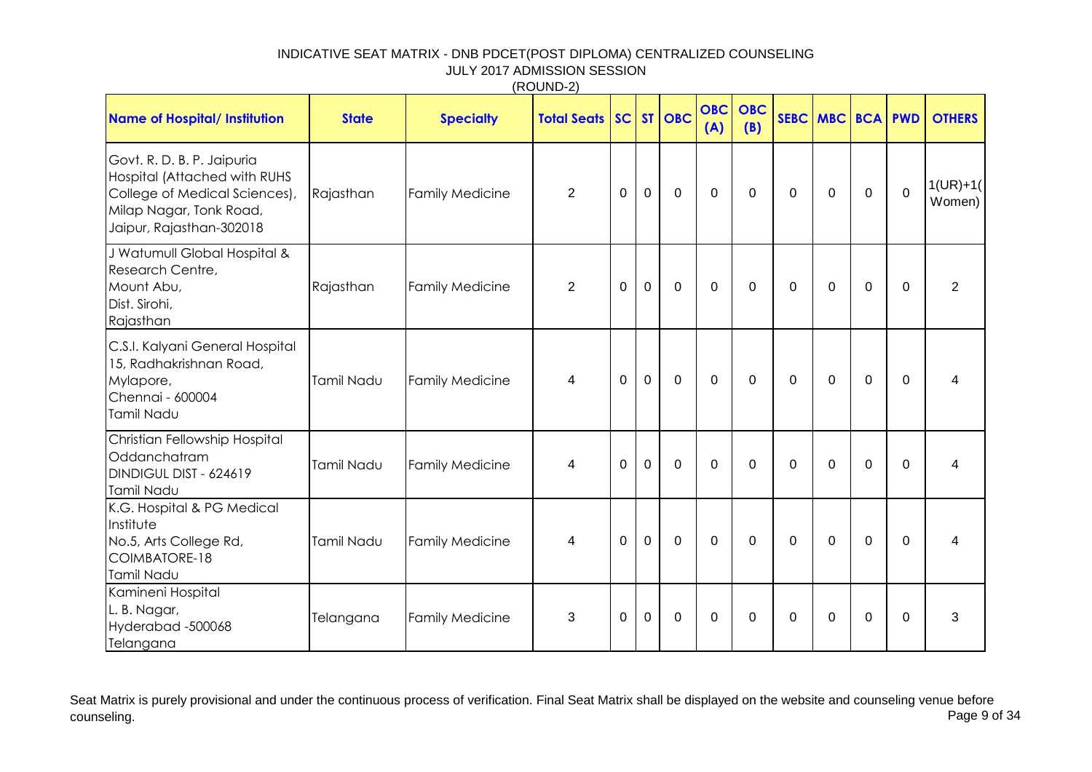|                                                                                                                                                    |              |                        | (1100110E)         |             |             |             |                   |                   |                |             |             |                |                      |
|----------------------------------------------------------------------------------------------------------------------------------------------------|--------------|------------------------|--------------------|-------------|-------------|-------------|-------------------|-------------------|----------------|-------------|-------------|----------------|----------------------|
| Name of Hospital/ Institution                                                                                                                      | <b>State</b> | <b>Specialty</b>       | <b>Total Seats</b> | SC          |             | ST OBC      | <b>OBC</b><br>(A) | <b>OBC</b><br>(B) |                | SEBC MBC    |             | <b>BCA PWD</b> | <b>OTHERS</b>        |
| Govt. R. D. B. P. Jaipuria<br>Hospital (Attached with RUHS<br>College of Medical Sciences),<br>Milap Nagar, Tonk Road,<br>Jaipur, Rajasthan-302018 | Rajasthan    | <b>Family Medicine</b> | $\overline{2}$     | $\mathbf 0$ | $\mathbf 0$ | $\mathbf 0$ | $\mathbf 0$       | $\mathbf 0$       | $\mathbf 0$    | $\mathbf 0$ | $\mathbf 0$ | $\overline{0}$ | $1(UR)+1($<br>Women) |
| J Watumull Global Hospital &<br>Research Centre,<br>Mount Abu,<br>Dist. Sirohi,<br>Rajasthan                                                       | Rajasthan    | <b>Family Medicine</b> | $\overline{2}$     | $\mathbf 0$ | $\mathbf 0$ | $\mathbf 0$ | $\mathbf 0$       | $\mathbf 0$       | $\overline{0}$ | 0           | $\mathbf 0$ | $\mathbf 0$    | $\overline{2}$       |
| C.S.I. Kalyani General Hospital<br>15, Radhakrishnan Road,<br>Mylapore,<br>Chennai - 600004<br>Tamil Nadu                                          | Tamil Nadu   | <b>Family Medicine</b> | 4                  | 0           | $\mathbf 0$ | $\mathbf 0$ | $\mathbf 0$       | $\mathbf 0$       | 0              | 0           | $\mathbf 0$ | $\mathbf 0$    | 4                    |
| Christian Fellowship Hospital<br>Oddanchatram<br>DINDIGUL DIST - 624619<br>Tamil Nadu                                                              | Tamil Nadu   | <b>Family Medicine</b> | 4                  | $\Omega$    | $\mathbf 0$ | $\mathbf 0$ | $\mathbf 0$       | $\mathbf 0$       | $\overline{0}$ | $\Omega$    | $\mathbf 0$ | $\mathbf 0$    | 4                    |
| K.G. Hospital & PG Medical<br>Institute<br>No.5, Arts College Rd,<br>COIMBATORE-18<br>Tamil Nadu                                                   | Tamil Nadu   | <b>Family Medicine</b> | 4                  | $\Omega$    | $\mathbf 0$ | $\mathbf 0$ | $\mathbf 0$       | $\mathbf 0$       | $\overline{0}$ | $\Omega$    | $\mathbf 0$ | $\mathbf 0$    | 4                    |
| Kamineni Hospital<br>L. B. Nagar,<br>Hyderabad -500068<br>Telangana                                                                                | Telangana    | <b>Family Medicine</b> | 3                  | $\mathbf 0$ | $\mathbf 0$ | $\mathbf 0$ | 0                 | 0                 | $\Omega$       | $\Omega$    | 0           | $\Omega$       | 3                    |

Seat Matrix is purely provisional and under the continuous process of verification. Final Seat Matrix shall be displayed on the website and counseling venue before<br>Page 9 of 34 counseling. Page 9 of 34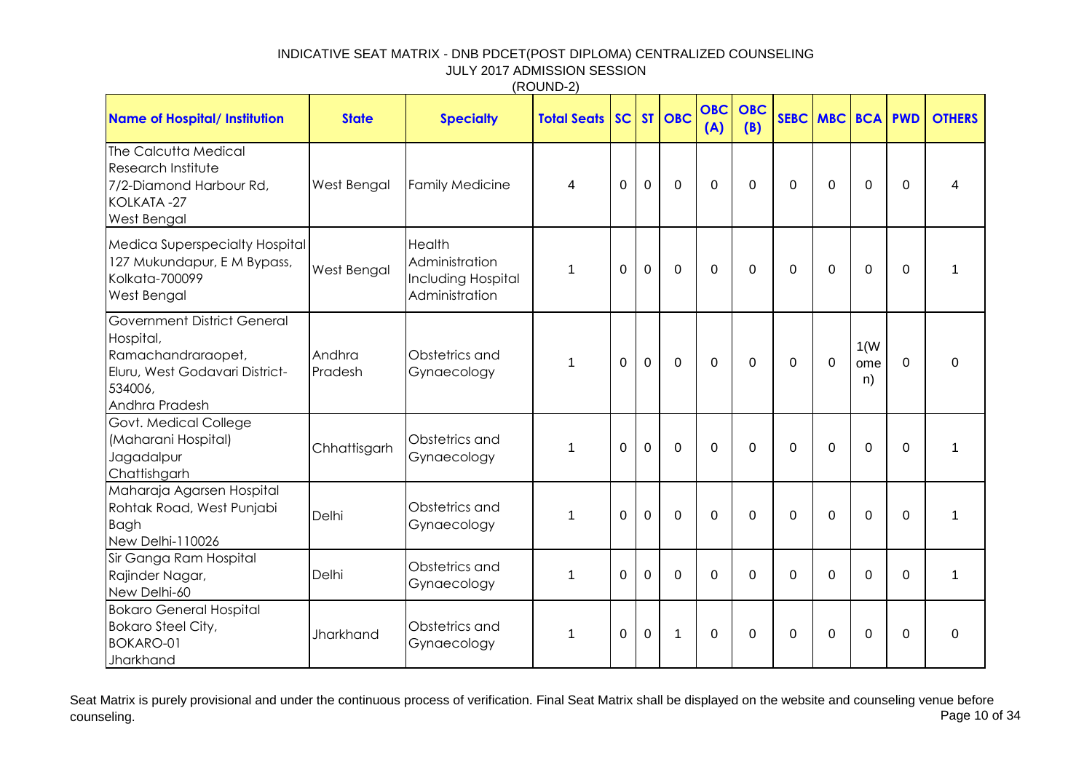|                                                                                                                                      |                   |                                                                  | ,,,,,,,,,,            |             |                |                |                   |                   |                |            |                   |             |               |
|--------------------------------------------------------------------------------------------------------------------------------------|-------------------|------------------------------------------------------------------|-----------------------|-------------|----------------|----------------|-------------------|-------------------|----------------|------------|-------------------|-------------|---------------|
| <b>Name of Hospital/ Institution</b>                                                                                                 | <b>State</b>      | <b>Specialty</b>                                                 | <b>Total Seats SC</b> |             |                | ST   OBC       | <b>OBC</b><br>(A) | <b>OBC</b><br>(B) | <b>SEBC</b>    | <b>MBC</b> | <b>BCA</b>        | <b>PWD</b>  | <b>OTHERS</b> |
| The Calcutta Medical<br>Research Institute<br>7/2-Diamond Harbour Rd,<br>KOLKATA-27<br><b>West Bengal</b>                            | West Bengal       | <b>Family Medicine</b>                                           | $\overline{4}$        | $\mathbf 0$ | $\overline{0}$ | $\overline{0}$ | $\mathbf 0$       | $\mathbf 0$       | $\overline{0}$ | $\Omega$   | $\overline{0}$    | $\Omega$    | 4             |
| <b>Medica Superspecialty Hospital</b><br>127 Mukundapur, E M Bypass,<br>Kolkata-700099<br><b>West Bengal</b>                         | West Bengal       | Health<br>Administration<br>Including Hospital<br>Administration | 1                     | $\mathbf 0$ | $\mathbf 0$    | $\Omega$       | $\Omega$          | $\Omega$          | $\mathbf 0$    | $\Omega$   | $\overline{0}$    | $\Omega$    |               |
| <b>Government District General</b><br>Hospital,<br>Ramachandraraopet,<br>Eluru, West Godavari District-<br>534006,<br>Andhra Pradesh | Andhra<br>Pradesh | Obstetrics and<br>Gynaecology                                    | 1                     | $\mathbf 0$ | $\mathbf 0$    | $\overline{0}$ | $\overline{0}$    | $\Omega$          | $\overline{0}$ | $\Omega$   | 1(W)<br>ome<br>n) | $\Omega$    | $\mathbf 0$   |
| Govt. Medical College<br>(Maharani Hospital)<br>Jagadalpur<br>Chattishgarh                                                           | Chhattisgarh      | Obstetrics and<br>Gynaecology                                    | $\mathbf{1}$          | $\mathbf 0$ | $\overline{0}$ | $\Omega$       | $\Omega$          | $\Omega$          | $\mathbf 0$    | $\Omega$   | $\mathbf 0$       | $\Omega$    | $\mathbf{1}$  |
| Maharaja Agarsen Hospital<br>Rohtak Road, West Punjabi<br>Bagh<br>New Delhi-110026                                                   | Delhi             | Obstetrics and<br>Gynaecology                                    | $\mathbf{1}$          | $\mathbf 0$ | $\overline{0}$ | $\Omega$       | $\Omega$          | $\Omega$          | $\overline{0}$ | $\Omega$   | $\Omega$          | $\mathbf 0$ | 1             |
| Sir Ganga Ram Hospital<br>Rajinder Nagar,<br>New Delhi-60                                                                            | Delhi             | Obstetrics and<br>Gynaecology                                    | 1                     | 0           | $\Omega$       | $\Omega$       | $\Omega$          | $\Omega$          | $\Omega$       | $\Omega$   | $\Omega$          | $\Omega$    | $\mathbf 1$   |
| <b>Bokaro General Hospital</b><br><b>Bokaro Steel City,</b><br>BOKARO-01<br>Jharkhand                                                | Jharkhand         | Obstetrics and<br>Gynaecology                                    | 1                     | 0           | 0              | $\mathbf 1$    | $\Omega$          | $\Omega$          | $\mathbf 0$    | $\Omega$   | $\Omega$          | $\Omega$    | 0             |

Seat Matrix is purely provisional and under the continuous process of verification. Final Seat Matrix shall be displayed on the website and counseling venue before<br>Page 10 of 34 counseling. Page 10 of 34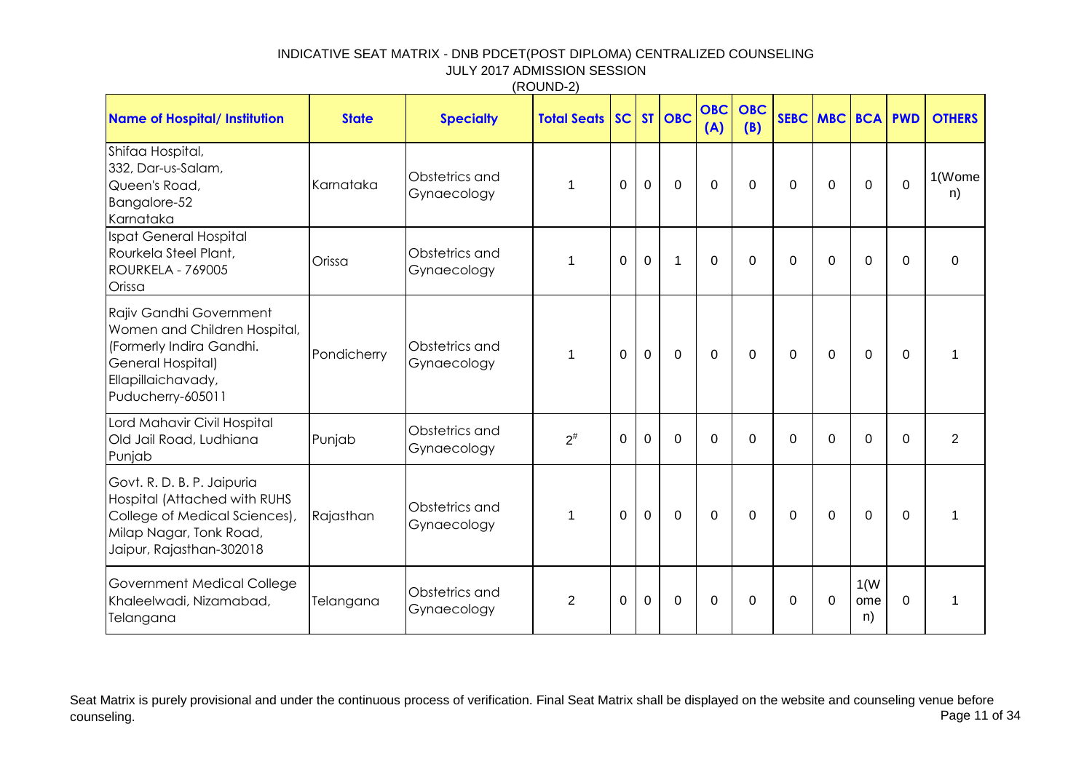|                                                                                                                                                     |              |                               | (11001122)            |             |              |                | <b>OBC</b>  | <b>OBC</b>  |             |              |                   |                |                |
|-----------------------------------------------------------------------------------------------------------------------------------------------------|--------------|-------------------------------|-----------------------|-------------|--------------|----------------|-------------|-------------|-------------|--------------|-------------------|----------------|----------------|
| <b>Name of Hospital/ Institution</b>                                                                                                                | <b>State</b> | <b>Specialty</b>              | <b>Total Seats SC</b> |             |              | $ST$ $OBC$     | (A)         | (B)         |             | SEBC MBC BCA |                   | <b>PWD</b>     | <b>OTHERS</b>  |
| Shifaa Hospital,<br>332, Dar-us-Salam,<br>Queen's Road,<br>Bangalore-52<br>Karnataka                                                                | Karnataka    | Obstetrics and<br>Gynaecology | 1                     | $\Omega$    | $\mathbf 0$  | $\overline{0}$ | $\Omega$    | $\mathbf 0$ | 0           | $\mathbf 0$  | $\overline{0}$    | $\Omega$       | 1(Wome<br>n)   |
| <b>Ispat General Hospital</b><br>Rourkela Steel Plant,<br>ROURKELA - 769005<br>Orissa                                                               | Orissa       | Obstetrics and<br>Gynaecology | 1                     | $\mathbf 0$ | $\mathbf{0}$ | $\mathbf{1}$   | $\mathbf 0$ | $\mathbf 0$ | 0           | $\mathbf 0$  | $\overline{0}$    | $\Omega$       | $\mathbf 0$    |
| Rajiv Gandhi Government<br>Women and Children Hospital,<br>(Formerly Indira Gandhi.<br>General Hospital)<br>Ellapillaichavady,<br>Puducherry-605011 | Pondicherry  | Obstetrics and<br>Gynaecology | 1                     | $\Omega$    | $\mathbf 0$  | $\mathbf 0$    | $\Omega$    | $\Omega$    | $\Omega$    | $\Omega$     | $\overline{0}$    | $\Omega$       | 1              |
| Lord Mahavir Civil Hospital<br>Old Jail Road, Ludhiana<br>Punjab                                                                                    | Punjab       | Obstetrics and<br>Gynaecology | $2^{\#}$              | $\mathbf 0$ | 0            | $\mathbf 0$    | $\Omega$    | $\mathbf 0$ | $\mathbf 0$ | $\mathbf 0$  | $\overline{0}$    | $\overline{0}$ | $\overline{2}$ |
| Govt. R. D. B. P. Jaipuria<br>Hospital (Attached with RUHS<br>College of Medical Sciences),<br>Milap Nagar, Tonk Road,<br>Jaipur, Rajasthan-302018  | Rajasthan    | Obstetrics and<br>Gynaecology | 1                     | $\mathbf 0$ | $\mathbf{0}$ | $\overline{0}$ | $\mathbf 0$ | $\mathbf 0$ | $\mathbf 0$ | $\mathbf 0$  | $\mathbf 0$       | $\mathbf 0$    | $\mathbf{1}$   |
| Government Medical College<br>Khaleelwadi, Nizamabad,<br>Telangana                                                                                  | Telangana    | Obstetrics and<br>Gynaecology | $\overline{2}$        | 0           | 0            | $\mathbf 0$    | $\Omega$    | $\Omega$    | 0           | $\mathbf 0$  | 1(W)<br>ome<br>n) | $\mathbf 0$    | 1              |

Seat Matrix is purely provisional and under the continuous process of verification. Final Seat Matrix shall be displayed on the website and counseling venue before<br>Page 11 of 34 counseling. Page 11 of 34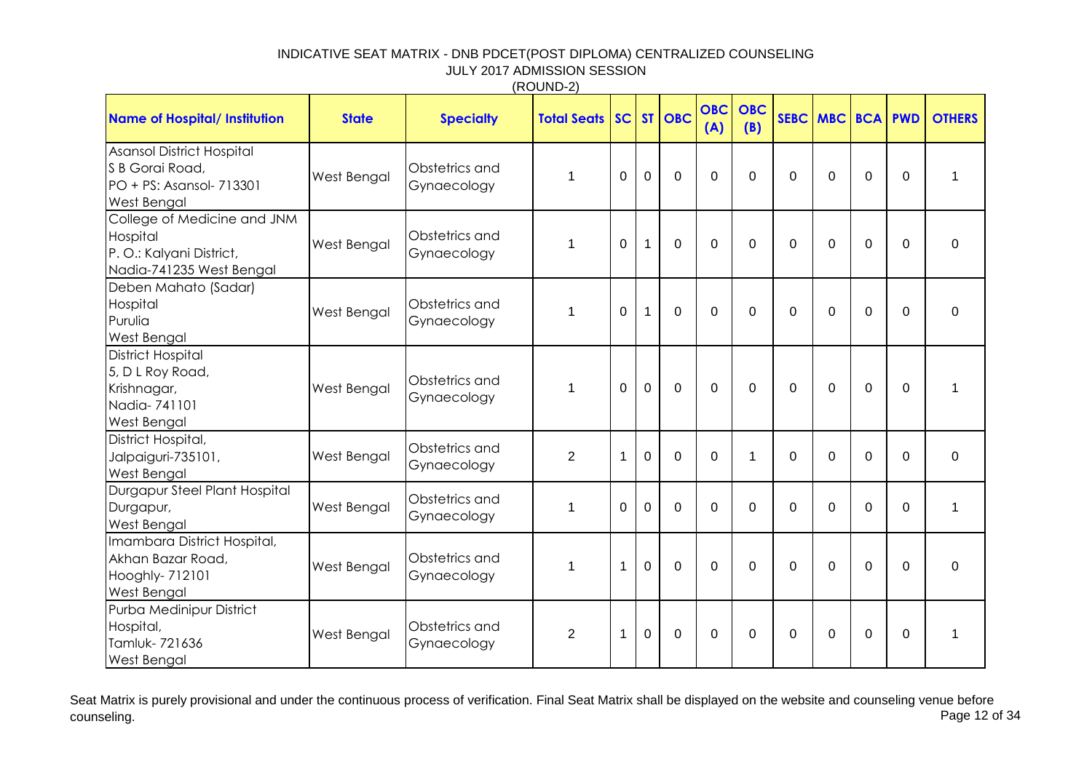|                                                                                                       |              |                               | (110C)             |              |              |                |                   |                   |                |                |                |                |               |
|-------------------------------------------------------------------------------------------------------|--------------|-------------------------------|--------------------|--------------|--------------|----------------|-------------------|-------------------|----------------|----------------|----------------|----------------|---------------|
| <b>Name of Hospital/ Institution</b>                                                                  | <b>State</b> | <b>Specialty</b>              | <b>Total Seats</b> | SC           |              | ST   OBC       | <b>OBC</b><br>(A) | <b>OBC</b><br>(B) |                | SEBC MBC       | <b>BCA</b>     | <b>PWD</b>     | <b>OTHERS</b> |
| <b>Asansol District Hospital</b><br>S B Gorai Road,<br>PO + PS: Asansol- 713301<br><b>West Bengal</b> | West Bengal  | Obstetrics and<br>Gynaecology | $\mathbf{1}$       | $\mathbf 0$  | $\mathbf 0$  | $\Omega$       | $\overline{0}$    | $\mathbf 0$       | 0              | $\Omega$       | $\mathbf 0$    | $\mathbf 0$    | $\mathbf 1$   |
| College of Medicine and JNM<br>Hospital<br>P. O.: Kalyani District,<br>Nadia-741235 West Bengal       | West Bengal  | Obstetrics and<br>Gynaecology | 1                  | $\mathbf 0$  | 1            | $\mathbf 0$    | $\mathbf 0$       | $\mathbf 0$       | $\mathbf 0$    | $\overline{0}$ | $\mathbf 0$    | $\mathbf 0$    | $\mathbf 0$   |
| Deben Mahato (Sadar)<br>Hospital<br>Purulia<br><b>West Bengal</b>                                     | West Bengal  | Obstetrics and<br>Gynaecology | 1                  | 0            | $\mathbf{1}$ | $\mathbf 0$    | $\mathbf 0$       | $\mathbf 0$       | 0              | $\Omega$       | $\mathbf 0$    | $\mathbf 0$    | $\mathbf 0$   |
| <b>District Hospital</b><br>5, D L Roy Road,<br>Krishnagar,<br>Nadia-741101<br>West Bengal            | West Bengal  | Obstetrics and<br>Gynaecology | 1                  | $\Omega$     | $\mathbf 0$  | $\Omega$       | $\Omega$          | $\Omega$          | 0              | $\Omega$       | $\overline{0}$ | $\Omega$       | $\mathbf{1}$  |
| District Hospital,<br>Jalpaiguri-735101,<br><b>West Bengal</b>                                        | West Bengal  | Obstetrics and<br>Gynaecology | $\overline{2}$     | $\mathbf{1}$ | 0            | $\mathbf 0$    | $\mathbf 0$       | 1                 | 0              | $\overline{0}$ | $\mathbf 0$    | $\mathbf 0$    | $\mathbf 0$   |
| Durgapur Steel Plant Hospital<br>Durgapur,<br><b>West Bengal</b>                                      | West Bengal  | Obstetrics and<br>Gynaecology | 1                  | $\Omega$     | $\Omega$     | $\Omega$       | $\Omega$          | $\mathbf 0$       | 0              | $\Omega$       | $\mathbf 0$    | $\mathbf 0$    | $\mathbf 1$   |
| Imambara District Hospital,<br>Akhan Bazar Road,<br>Hooghly- 712101<br>West Bengal                    | West Bengal  | Obstetrics and<br>Gynaecology | 1                  | $\mathbf{1}$ | $\mathbf 0$  | $\overline{0}$ | $\Omega$          | $\overline{0}$    | $\overline{0}$ | $\Omega$       | $\overline{0}$ | $\overline{0}$ | $\mathbf{0}$  |
| Purba Medinipur District<br>Hospital,<br>Tamluk-721636<br><b>West Bengal</b>                          | West Bengal  | Obstetrics and<br>Gynaecology | $\overline{2}$     | $\mathbf 1$  | 0            | $\mathbf 0$    | $\Omega$          | $\mathbf 0$       | 0              | $\Omega$       | $\mathbf 0$    | $\mathbf 0$    | $\mathbf{1}$  |

Seat Matrix is purely provisional and under the continuous process of verification. Final Seat Matrix shall be displayed on the website and counseling venue before counseling. Page 12 of 34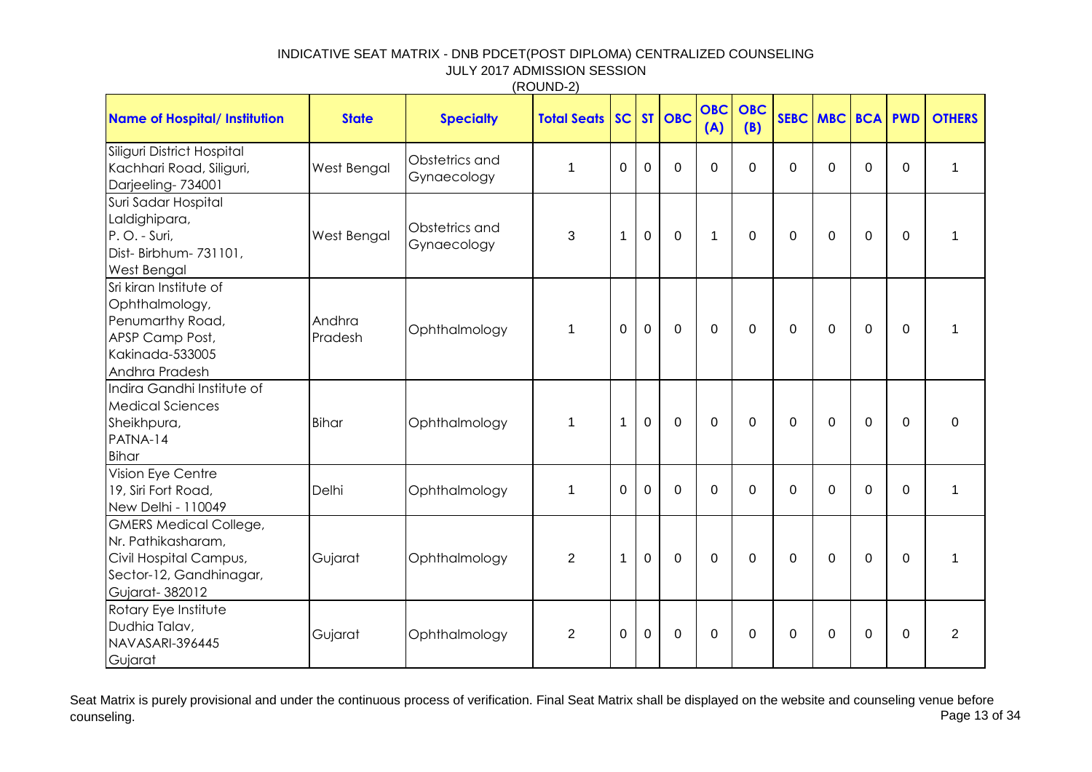|                                                                                                                            |                   |                               | (11001122)                |                |                |                |                   |                   |             |             |                |                |                |
|----------------------------------------------------------------------------------------------------------------------------|-------------------|-------------------------------|---------------------------|----------------|----------------|----------------|-------------------|-------------------|-------------|-------------|----------------|----------------|----------------|
| <b>Name of Hospital/ Institution</b>                                                                                       | <b>State</b>      | <b>Specialty</b>              | <b>Total Seats   SC  </b> |                |                | ST   OBC       | <b>OBC</b><br>(A) | <b>OBC</b><br>(B) | SEBC MBC    |             | <b>BCA</b>     | <b>PWD</b>     | <b>OTHERS</b>  |
| Siliguri District Hospital<br>Kachhari Road, Siliguri,<br>Darjeeling-734001                                                | West Bengal       | Obstetrics and<br>Gynaecology | $\mathbf{1}$              | $\mathbf 0$    | $\mathbf 0$    | $\mathbf 0$    | $\Omega$          | $\Omega$          | $\mathbf 0$ | $\mathbf 0$ | $\Omega$       | $\mathbf{0}$   | $\mathbf{1}$   |
| Suri Sadar Hospital<br>Laldighipara,<br>P.O. - Suri,<br>Dist-Birbhum-731101,<br><b>West Bengal</b>                         | West Bengal       | Obstetrics and<br>Gynaecology | 3                         | 1              | $\mathbf 0$    | $\mathbf 0$    | $\mathbf 1$       | $\mathbf{0}$      | $\mathbf 0$ | $\mathbf 0$ | $\overline{0}$ | $\mathbf{0}$   | 1              |
| Sri kiran Institute of<br>Ophthalmology,<br>Penumarthy Road,<br>APSP Camp Post,<br>Kakinada-533005<br>Andhra Pradesh       | Andhra<br>Pradesh | Ophthalmology                 | $\mathbf{1}$              | $\overline{0}$ | $\overline{0}$ | $\overline{0}$ | $\Omega$          | $\Omega$          | $\mathbf 0$ | $\Omega$    | $\mathbf 0$    | $\overline{0}$ | 1              |
| Indira Gandhi Institute of<br><b>Medical Sciences</b><br>Sheikhpura,<br>PATNA-14<br>Bihar                                  | <b>Bihar</b>      | Ophthalmology                 | $\mathbf{1}$              | $\mathbf 1$    | $\mathbf 0$    | $\mathbf 0$    | $\Omega$          | $\mathbf{0}$      | $\mathbf 0$ | $\Omega$    | $\Omega$       | $\mathbf{0}$   | $\mathbf 0$    |
| Vision Eye Centre<br>19, Siri Fort Road,<br>New Delhi - 110049                                                             | Delhi             | Ophthalmology                 | $\mathbf 1$               | $\mathbf 0$    | $\mathbf 0$    | $\mathbf 0$    | $\Omega$          | $\Omega$          | $\mathbf 0$ | $\Omega$    | $\Omega$       | $\Omega$       | $\mathbf{1}$   |
| <b>GMERS Medical College,</b><br>Nr. Pathikasharam,<br>Civil Hospital Campus,<br>Sector-12, Gandhinagar,<br>Gujarat-382012 | Gujarat           | Ophthalmology                 | $\overline{2}$            | 1              | $\mathbf 0$    | $\mathbf 0$    | $\Omega$          | $\mathbf 0$       | $\mathbf 0$ | $\Omega$    | $\mathbf 0$    | $\mathbf 0$    | 1              |
| Rotary Eye Institute<br>Dudhia Talav,<br>NAVASARI-396445<br>Gujarat                                                        | Gujarat           | Ophthalmology                 | $\overline{2}$            | $\overline{0}$ | $\mathbf 0$    | $\mathbf 0$    | $\Omega$          | $\mathbf{0}$      | $\mathbf 0$ | $\mathbf 0$ | $\Omega$       | $\overline{0}$ | $\overline{2}$ |

Seat Matrix is purely provisional and under the continuous process of verification. Final Seat Matrix shall be displayed on the website and counseling venue before<br>Page 13 of 34 counseling. Page 13 of 34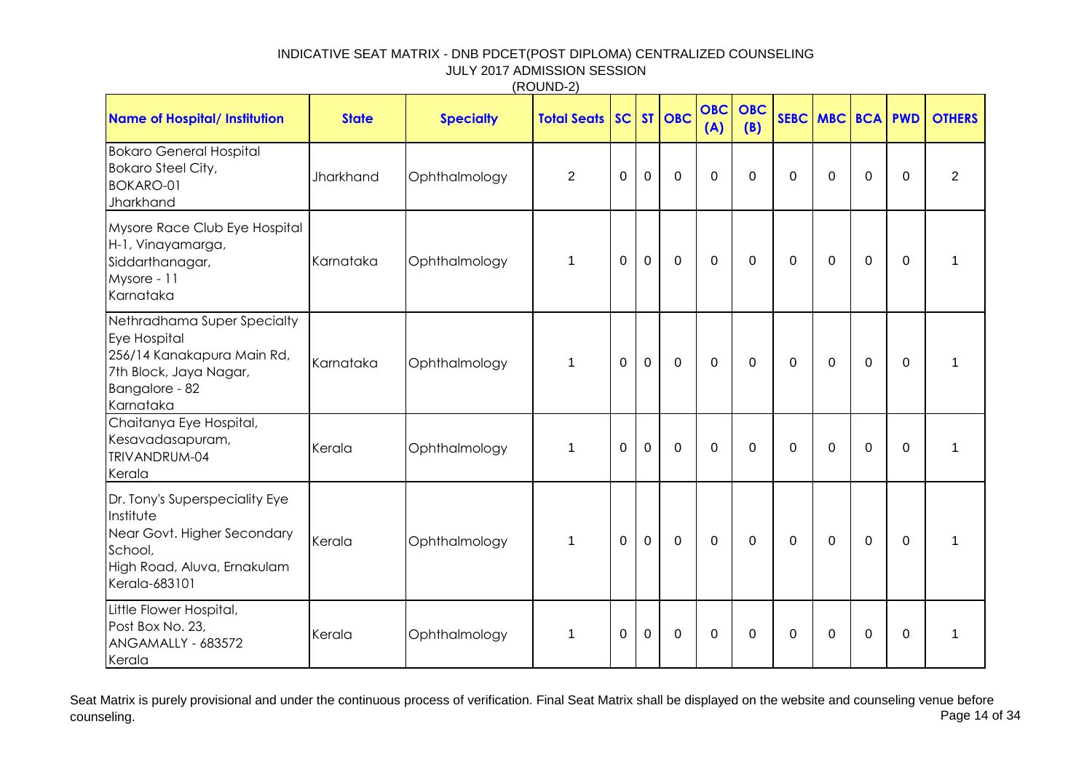|                                                                                                                                       |              |                  | (1001122)          |                |              |             |                   |                   |             |          |             |                |                |
|---------------------------------------------------------------------------------------------------------------------------------------|--------------|------------------|--------------------|----------------|--------------|-------------|-------------------|-------------------|-------------|----------|-------------|----------------|----------------|
| <b>Name of Hospital/ Institution</b>                                                                                                  | <b>State</b> | <b>Specialty</b> | <b>Total Seats</b> | SC             |              | ST   OBC    | <b>OBC</b><br>(A) | <b>OBC</b><br>(B) |             | SEBC MBC |             | <b>BCA PWD</b> | <b>OTHERS</b>  |
| <b>Bokaro General Hospital</b><br>Bokaro Steel City,<br><b>BOKARO-01</b><br>Jharkhand                                                 | Jharkhand    | Ophthalmology    | $\overline{2}$     | $\mathbf 0$    | $\mathbf 0$  | $\mathbf 0$ | $\mathbf 0$       | $\mathbf 0$       | $\mathbf 0$ | $\Omega$ | $\mathbf 0$ | $\mathbf 0$    | $\overline{2}$ |
| Mysore Race Club Eye Hospital<br>H-1, Vinayamarga,<br>Siddarthanagar,<br>Mysore - 11<br>Karnataka                                     | Karnataka    | Ophthalmology    | $\mathbf{1}$       | $\mathbf 0$    | $\mathbf 0$  | $\mathbf 0$ | $\mathbf 0$       | $\mathbf 0$       | $\mathbf 0$ | $\Omega$ | $\mathbf 0$ | $\Omega$       | $\mathbf{1}$   |
| Nethradhama Super Specialty<br>Eye Hospital<br>256/14 Kanakapura Main Rd,<br>7th Block, Jaya Nagar,<br>Bangalore - 82<br>Karnataka    | Karnataka    | Ophthalmology    | $\mathbf{1}$       | $\mathbf 0$    | $\mathbf 0$  | $\mathbf 0$ | $\mathbf 0$       | $\mathbf 0$       | 0           | $\Omega$ | $\mathbf 0$ | $\Omega$       | $\overline{1}$ |
| Chaitanya Eye Hospital,<br>Kesavadasapuram,<br>TRIVANDRUM-04<br>Kerala                                                                | Kerala       | Ophthalmology    | $\mathbf{1}$       | $\Omega$       | $\mathbf{0}$ | $\Omega$    | $\Omega$          | $\Omega$          | $\Omega$    | $\Omega$ | $\Omega$    | $\Omega$       | $\overline{1}$ |
| Dr. Tony's Superspeciality Eye<br>Institute<br>Near Govt. Higher Secondary<br>School,<br>High Road, Aluva, Ernakulam<br>Kerala-683101 | Kerala       | Ophthalmology    | $\mathbf{1}$       | $\overline{0}$ | $\mathbf{0}$ | $\mathbf 0$ | $\mathbf 0$       | $\mathbf 0$       | $\mathbf 0$ | $\Omega$ | $\mathbf 0$ | $\mathbf 0$    | $\overline{1}$ |
| Little Flower Hospital,<br>Post Box No. 23,<br>ANGAMALLY - 683572<br>Kerala                                                           | Kerala       | Ophthalmology    | $\mathbf{1}$       | $\mathbf 0$    | $\mathbf 0$  | $\mathbf 0$ | $\Omega$          | $\mathbf 0$       | $\Omega$    | $\Omega$ | $\mathbf 0$ | $\Omega$       | $\overline{1}$ |

Seat Matrix is purely provisional and under the continuous process of verification. Final Seat Matrix shall be displayed on the website and counseling venue before<br>Page 14 of 34 counseling. Page 14 of 34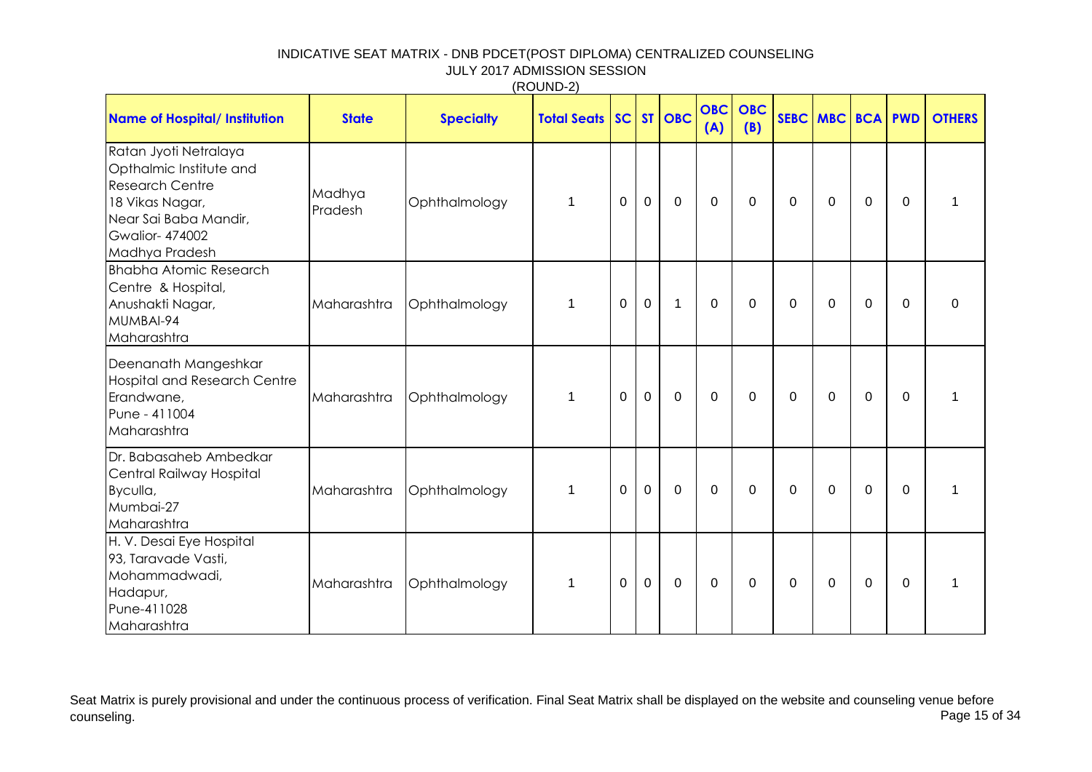| (ROUND-2) |  |
|-----------|--|
|-----------|--|

| <b>Name of Hospital/ Institution</b>                                                                                                                              | <b>State</b>      | <b>Specialty</b> | <b>Total Seats SC</b> |             |                | $ST$ OBC     | <b>OBC</b><br>(A) | <b>OBC</b><br>(B) | SEBC MBC    |             | <b>BCA</b>  | <b>PWD</b>   | <b>OTHERS</b> |
|-------------------------------------------------------------------------------------------------------------------------------------------------------------------|-------------------|------------------|-----------------------|-------------|----------------|--------------|-------------------|-------------------|-------------|-------------|-------------|--------------|---------------|
| Ratan Jyoti Netralaya<br>Opthalmic Institute and<br><b>Research Centre</b><br>18 Vikas Nagar,<br>Near Sai Baba Mandir,<br><b>Gwalior-474002</b><br>Madhya Pradesh | Madhya<br>Pradesh | Ophthalmology    | $\mathbf{1}$          | $\Omega$    | $\overline{0}$ | $\mathbf 0$  | $\Omega$          | $\Omega$          | 0           | $\Omega$    | $\Omega$    | $\Omega$     |               |
| <b>Bhabha Atomic Research</b><br>Centre & Hospital,<br>Anushakti Nagar,<br>MUMBAI-94<br>Maharashtra                                                               | Maharashtra       | Ophthalmology    | $\mathbf{1}$          | 0           | $\mathbf 0$    | $\mathbf{1}$ | $\Omega$          | $\Omega$          | $\mathbf 0$ | $\Omega$    | $\Omega$    | $\mathbf{0}$ | $\Omega$      |
| Deenanath Mangeshkar<br><b>Hospital and Research Centre</b><br>Erandwane,<br>Pune - 411004<br>Maharashtra                                                         | Maharashtra       | Ophthalmology    | $\mathbf{1}$          | $\mathbf 0$ | $\mathbf{0}$   | $\mathbf 0$  | $\mathbf 0$       | $\mathbf 0$       | $\mathbf 0$ | $\mathbf 0$ | $\mathbf 0$ | $\mathbf{0}$ | 1             |
| Dr. Babasaheb Ambedkar<br>Central Railway Hospital<br>Byculla,<br>Mumbai-27<br>Maharashtra                                                                        | Maharashtra       | Ophthalmology    | $\mathbf{1}$          | 0           | $\mathbf 0$    | $\mathbf 0$  | $\Omega$          | $\Omega$          | $\mathbf 0$ | $\mathbf 0$ | $\mathbf 0$ | $\Omega$     | 1             |
| H. V. Desai Eye Hospital<br>93, Taravade Vasti,<br>Mohammadwadi,<br>Hadapur,<br>Pune-411028<br>Maharashtra                                                        | Maharashtra       | Ophthalmology    | $\mathbf{1}$          | $\mathbf 0$ | $\mathbf 0$    | $\mathbf 0$  | $\mathbf 0$       | $\Omega$          | $\mathbf 0$ | $\mathbf 0$ | $\mathbf 0$ | 0            | 1             |

Seat Matrix is purely provisional and under the continuous process of verification. Final Seat Matrix shall be displayed on the website and counseling venue before<br>Page 15 of 34 counseling. Page 15 of 34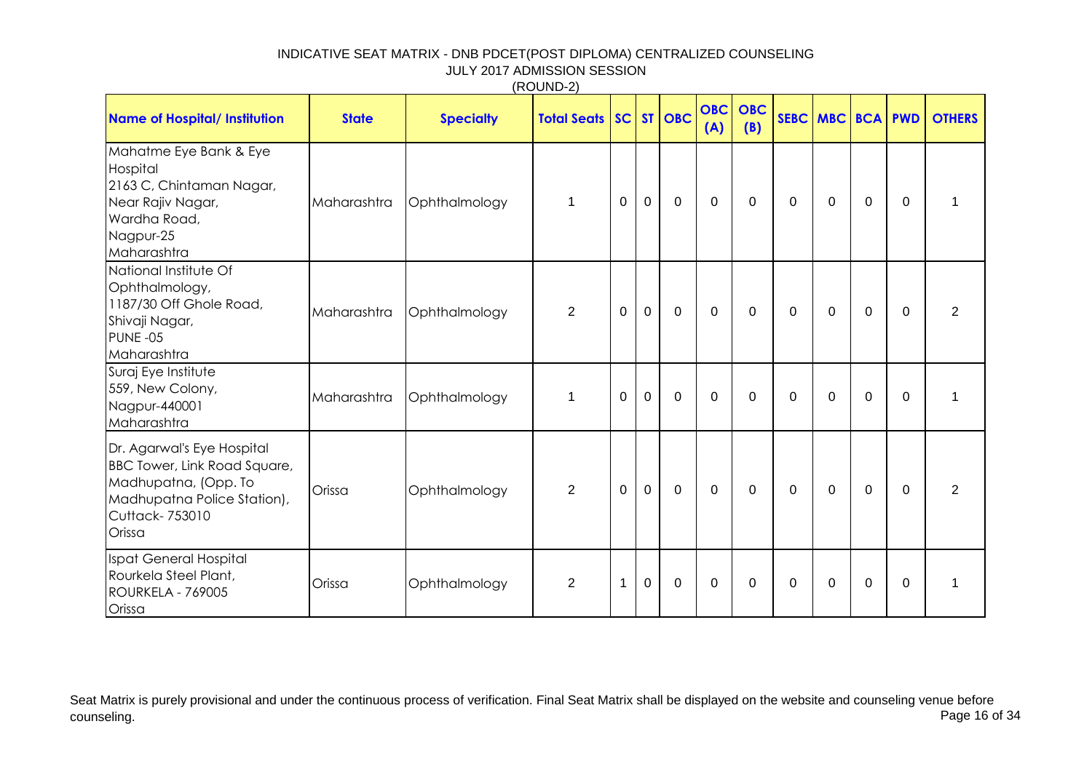| <b>Name of Hospital/ Institution</b>                                                                                                           | <b>State</b> | <b>Specialty</b> | <b>Total Seats SC</b> |                |             | ST OBC         | <b>OBC</b><br>(A) | <b>OBC</b><br>(B) | SEBC MBC BCA PWD |             |             |          | <b>OTHERS</b>  |
|------------------------------------------------------------------------------------------------------------------------------------------------|--------------|------------------|-----------------------|----------------|-------------|----------------|-------------------|-------------------|------------------|-------------|-------------|----------|----------------|
| Mahatme Eye Bank & Eye<br>Hospital<br>2163 C, Chintaman Nagar,<br>Near Rajiv Nagar,<br>Wardha Road,<br>Nagpur-25<br>Maharashtra                | Maharashtra  | Ophthalmology    | 1                     | $\mathbf 0$    | $\mathbf 0$ | $\mathbf{0}$   | $\mathbf{0}$      | $\Omega$          | 0                | $\Omega$    | 0           | 0        |                |
| National Institute Of<br>Ophthalmology,<br>1187/30 Off Ghole Road,<br>Shivaji Nagar,<br>PUNE-05<br>Maharashtra                                 | Maharashtra  | Ophthalmology    | $\overline{2}$        | $\overline{0}$ | $\mathbf 0$ | $\overline{0}$ | 0                 | $\Omega$          | 0                | $\Omega$    | $\mathbf 0$ | 0        | $\overline{2}$ |
| Suraj Eye Institute<br>559, New Colony,<br>Nagpur-440001<br>Maharashtra                                                                        | Maharashtra  | Ophthalmology    | $\mathbf{1}$          | $\overline{0}$ | $\mathbf 0$ | $\mathbf 0$    | $\Omega$          | $\Omega$          | $\overline{0}$   | $\mathbf 0$ | $\mathbf 0$ | $\Omega$ |                |
| Dr. Agarwal's Eye Hospital<br>BBC Tower, Link Road Square,<br>Madhupatna, (Opp. To<br>Madhupatna Police Station),<br>Cuttack- 753010<br>Orissa | Orissa       | Ophthalmology    | $\overline{2}$        | $\mathbf 0$    | $\mathbf 0$ | $\mathbf 0$    | $\mathbf{0}$      | $\Omega$          | $\mathbf 0$      | $\Omega$    | $\Omega$    | $\Omega$ | $\overline{2}$ |
| Ispat General Hospital<br>Rourkela Steel Plant,<br><b>ROURKELA - 769005</b><br>Orissa                                                          | Orissa       | Ophthalmology    | $\overline{2}$        | $\mathbf{1}$   | $\mathbf 0$ | $\mathbf 0$    | $\Omega$          | 0                 | 0                | $\Omega$    | 0           | 0        | $\mathbf 1$    |

Seat Matrix is purely provisional and under the continuous process of verification. Final Seat Matrix shall be displayed on the website and counseling venue before<br>Page 16 of 34 counseling. Page 16 of 34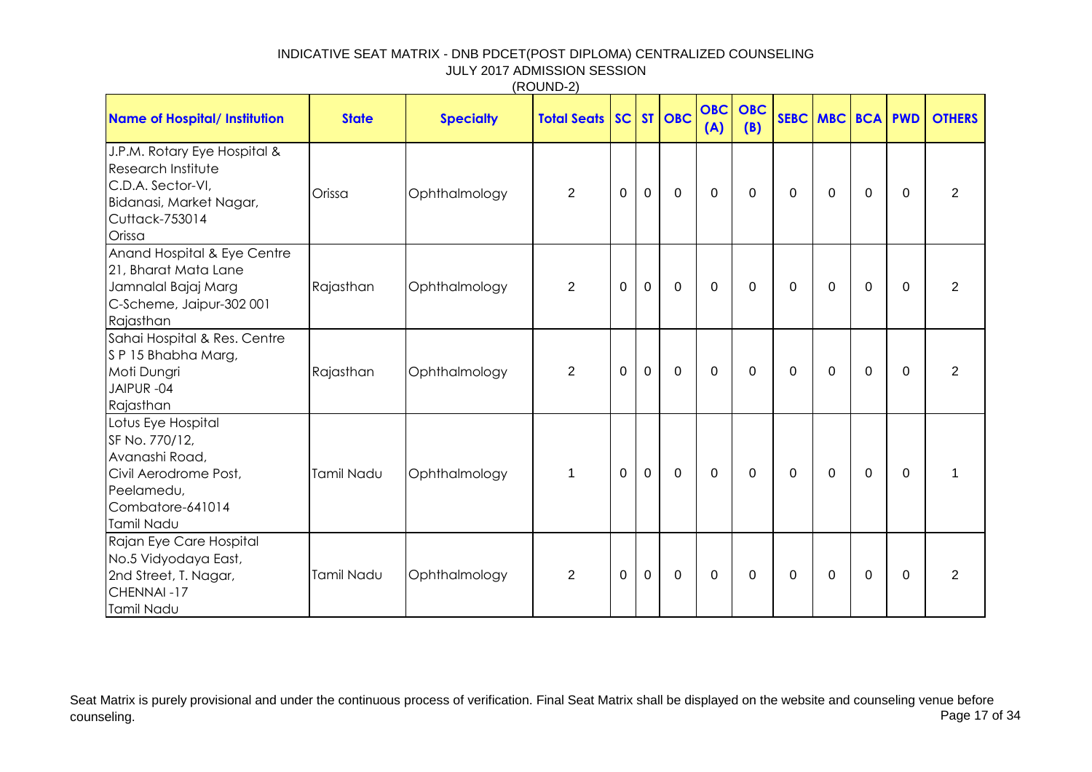|                                                                                                                                       |              |                  | (1001127)                 |                |                |             |                   |                   |             |          |              |                |                |
|---------------------------------------------------------------------------------------------------------------------------------------|--------------|------------------|---------------------------|----------------|----------------|-------------|-------------------|-------------------|-------------|----------|--------------|----------------|----------------|
| <b>Name of Hospital/ Institution</b>                                                                                                  | <b>State</b> | <b>Specialty</b> | <b>Total Seats   SC  </b> |                |                | ST   OBC    | <b>OBC</b><br>(A) | <b>OBC</b><br>(B) |             | SEBC MBC |              | <b>BCA PWD</b> | <b>OTHERS</b>  |
| J.P.M. Rotary Eye Hospital &<br><b>Research Institute</b><br>C.D.A. Sector-VI,<br>Bidanasi, Market Nagar,<br>Cuttack-753014<br>Orissa | Orissa       | Ophthalmology    | $\overline{2}$            | 0              | $\mathbf 0$    | $\mathbf 0$ | $\Omega$          | $\mathbf 0$       | 0           | $\Omega$ | $\mathbf 0$  | $\Omega$       | $\overline{2}$ |
| Anand Hospital & Eye Centre<br>21, Bharat Mata Lane<br>Jamnalal Bajaj Marg<br>C-Scheme, Jaipur-302 001<br>Rajasthan                   | Rajasthan    | Ophthalmology    | $\overline{2}$            | $\overline{0}$ | $\mathbf{0}$   | $\mathbf 0$ | $\mathbf 0$       | $\overline{0}$    | $\mathbf 0$ | $\Omega$ | $\mathbf{0}$ | $\Omega$       | 2              |
| Sahai Hospital & Res. Centre<br>SP 15 Bhabha Marg,<br>Moti Dungri<br>JAIPUR-04<br>Rajasthan                                           | Rajasthan    | Ophthalmology    | $\overline{2}$            | $\mathbf 0$    | $\mathbf 0$    | $\mathbf 0$ | $\mathbf 0$       | $\mathbf 0$       | $\mathbf 0$ | $\Omega$ | 0            | $\Omega$       | $\overline{2}$ |
| Lotus Eye Hospital<br>SF No. 770/12,<br>Avanashi Road,<br>Civil Aerodrome Post,<br>Peelamedu,<br>Combatore-641014<br>Tamil Nadu       | Tamil Nadu   | Ophthalmology    | $\mathbf{1}$              | $\mathbf 0$    | $\overline{0}$ | $\mathbf 0$ | $\mathbf 0$       | $\mathbf 0$       | $\mathbf 0$ | $\Omega$ | 0            | $\Omega$       | 1              |
| Rajan Eye Care Hospital<br>No.5 Vidyodaya East,<br>2nd Street, T. Nagar,<br>CHENNAI-17<br>Tamil Nadu                                  | Tamil Nadu   | Ophthalmology    | $\overline{2}$            | $\mathbf 0$    | $\mathbf 0$    | $\mathbf 0$ | 0                 | $\mathbf 0$       | 0           | 0        | 0            | $\Omega$       | $\overline{2}$ |

Seat Matrix is purely provisional and under the continuous process of verification. Final Seat Matrix shall be displayed on the website and counseling venue before<br>Page 17 of 34 counseling. Page 17 of 34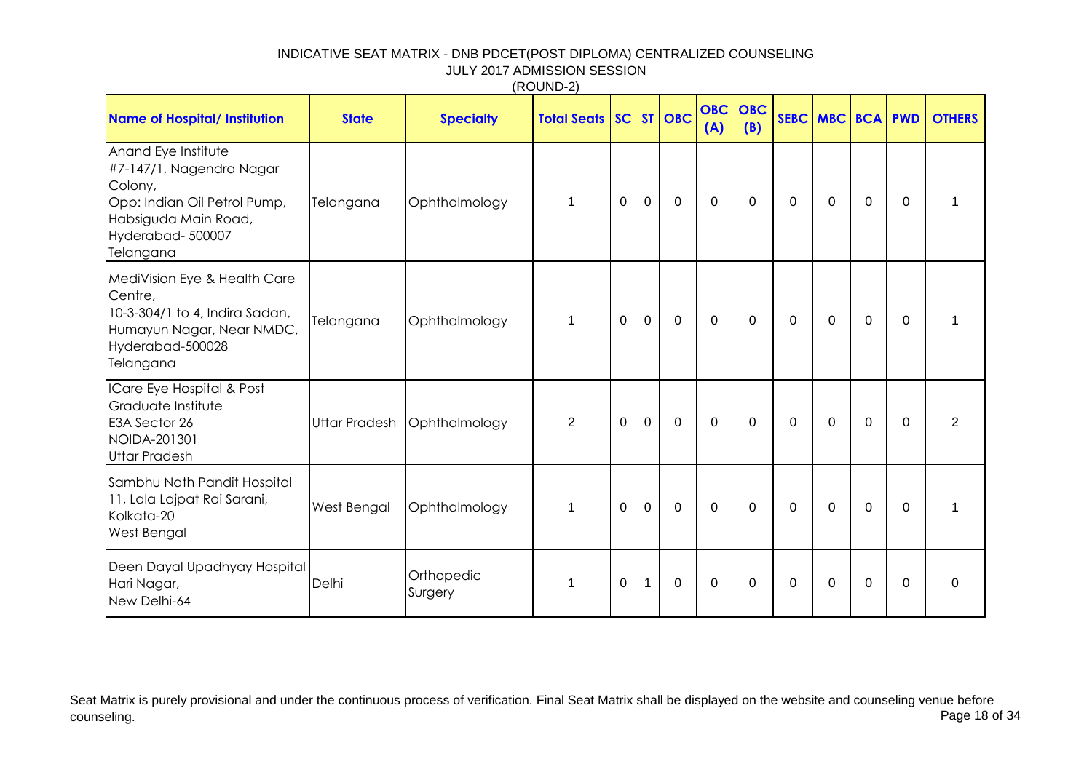|  |  |  | (ROUND-2) |  |
|--|--|--|-----------|--|
|--|--|--|-----------|--|

| <b>Name of Hospital/ Institution</b>                                                                                                                | <b>State</b>         | <b>Specialty</b>      | <b>Total Seats SC</b> |             |                | <b>ST   OBC</b> | <b>OBC</b><br>(A) | <b>OBC</b><br>(B) |          | SEBC MBC BCA PWD |              |          | <b>OTHERS</b>  |
|-----------------------------------------------------------------------------------------------------------------------------------------------------|----------------------|-----------------------|-----------------------|-------------|----------------|-----------------|-------------------|-------------------|----------|------------------|--------------|----------|----------------|
| Anand Eye Institute<br>#7-147/1, Nagendra Nagar<br>Colony,<br>Opp: Indian Oil Petrol Pump,<br>Habsiguda Main Road,<br>Hyderabad-500007<br>Telangana | Telangana            | Ophthalmology         | $\mathbf{1}$          | 0           | $\overline{0}$ | $\mathbf 0$     | $\mathbf{0}$      | $\mathbf{0}$      | 0        | $\Omega$         | $\mathbf{0}$ | $\Omega$ |                |
| MediVision Eye & Health Care<br>Centre,<br>10-3-304/1 to 4, Indira Sadan,<br>Humayun Nagar, Near NMDC,<br>Hyderabad-500028<br>Telangana             | Telangana            | Ophthalmology         | $\mathbf{1}$          | $\mathbf 0$ | $\mathbf 0$    | $\mathbf 0$     | $\mathbf 0$       | $\Omega$          | 0        | $\mathbf 0$      | $\mathbf{0}$ | $\Omega$ |                |
| ICare Eye Hospital & Post<br>Graduate Institute<br>E3A Sector 26<br>NOIDA-201301<br><b>Uttar Pradesh</b>                                            | <b>Uttar Pradesh</b> | Ophthalmology         | $\overline{2}$        | $\mathbf 0$ | $\mathbf 0$    | $\mathbf 0$     | $\mathbf 0$       | $\mathbf{0}$      | 0        | $\overline{0}$   | $\mathbf{0}$ | $\Omega$ | $\overline{2}$ |
| Sambhu Nath Pandit Hospital<br>11, Lala Lajpat Rai Sarani,<br>Kolkata-20<br>West Bengal                                                             | West Bengal          | Ophthalmology         | $\mathbf{1}$          | $\Omega$    | $\overline{0}$ | $\mathbf 0$     | $\mathbf{0}$      | $\mathbf{0}$      | $\Omega$ | $\Omega$         | $\Omega$     | $\Omega$ |                |
| Deen Dayal Upadhyay Hospital<br>Hari Nagar,<br>New Delhi-64                                                                                         | Delhi                | Orthopedic<br>Surgery | 1                     | $\mathbf 0$ | $\overline{1}$ | $\mathbf 0$     | $\mathbf 0$       | $\Omega$          | 0        | $\Omega$         | 0            | $\Omega$ | 0              |

Seat Matrix is purely provisional and under the continuous process of verification. Final Seat Matrix shall be displayed on the website and counseling venue before<br>Page 18 of 34 counseling. Page 18 of 34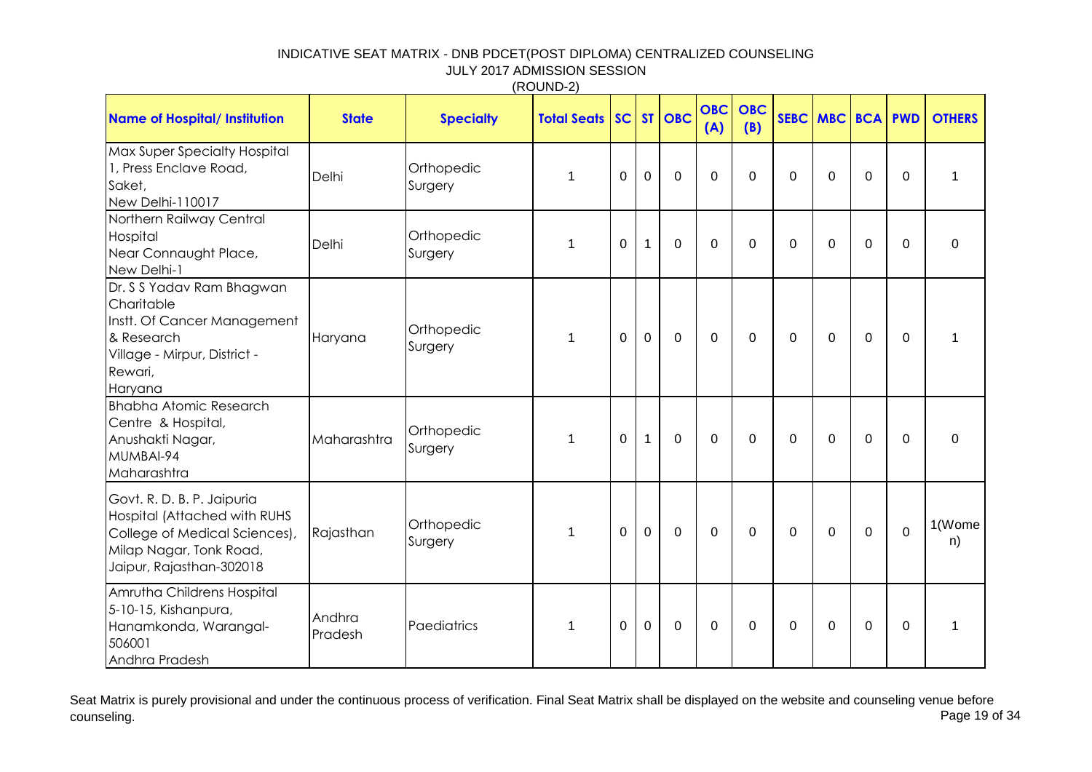|                                                                                                                                                    |                   |                       | ,,,,,,,,,,,        |             |             |             |                   |                   |             |              |              |             |               |
|----------------------------------------------------------------------------------------------------------------------------------------------------|-------------------|-----------------------|--------------------|-------------|-------------|-------------|-------------------|-------------------|-------------|--------------|--------------|-------------|---------------|
| <b>Name of Hospital/ Institution</b>                                                                                                               | <b>State</b>      | <b>Specialty</b>      | <b>Total Seats</b> | SC          |             | $ST$ OBC    | <b>OBC</b><br>(A) | <b>OBC</b><br>(B) |             | SEBC MBC BCA |              | <b>PWD</b>  | <b>OTHERS</b> |
| Max Super Specialty Hospital<br>1, Press Enclave Road,<br>Saket,<br>New Delhi-110017                                                               | Delhi             | Orthopedic<br>Surgery | $\mathbf{1}$       | $\Omega$    | $\Omega$    | $\mathbf 0$ | $\Omega$          | $\Omega$          | $\Omega$    | $\Omega$     | $\mathbf 0$  | $\mathbf 0$ | $\mathbf{1}$  |
| Northern Railway Central<br>Hospital<br>Near Connaught Place,<br>New Delhi-1                                                                       | Delhi             | Orthopedic<br>Surgery | 1                  | $\mathbf 0$ | $\mathbf 1$ | $\mathbf 0$ | $\Omega$          | 0                 | $\mathbf 0$ | $\Omega$     | $\mathbf 0$  | $\Omega$    | $\mathbf{0}$  |
| Dr. S S Yadav Ram Bhagwan<br>Charitable<br>Instt. Of Cancer Management<br>& Research<br>Village - Mirpur, District -<br>Rewari,<br>Haryana         | Haryana           | Orthopedic<br>Surgery | $\mathbf 1$        | $\Omega$    | $\mathbf 0$ | $\mathbf 0$ | $\Omega$          | 0                 | 0           | $\Omega$     | $\mathbf 0$  | $\Omega$    | $\mathbf{1}$  |
| <b>Bhabha Atomic Research</b><br>Centre & Hospital,<br>Anushakti Nagar,<br>MUMBAI-94<br>Maharashtra                                                | Maharashtra       | Orthopedic<br>Surgery | 1                  | $\mathbf 0$ | 1           | 0           | $\mathbf 0$       | $\mathbf 0$       | $\mathbf 0$ | $\Omega$     | $\mathbf 0$  | $\mathbf 0$ | $\mathbf 0$   |
| Govt. R. D. B. P. Jaipuria<br>Hospital (Attached with RUHS<br>College of Medical Sciences),<br>Milap Nagar, Tonk Road,<br>Jaipur, Rajasthan-302018 | Rajasthan         | Orthopedic<br>Surgery | 1                  | $\mathbf 0$ | $\mathbf 0$ | $\mathbf 0$ | $\mathbf 0$       | $\overline{0}$    | $\mathbf 0$ | 0            | $\mathbf{0}$ | $\mathbf 0$ | 1(Wome<br>n)  |
| Amrutha Childrens Hospital<br>5-10-15, Kishanpura,<br>Hanamkonda, Warangal-<br>506001<br>Andhra Pradesh                                            | Andhra<br>Pradesh | Paediatrics           | 1                  | $\mathbf 0$ | $\mathbf 0$ | $\mathbf 0$ | $\mathbf 0$       | $\mathbf 0$       | $\mathbf 0$ | 0            | $\mathbf 0$  | $\mathbf 0$ | $\mathbf 1$   |

Seat Matrix is purely provisional and under the continuous process of verification. Final Seat Matrix shall be displayed on the website and counseling venue before<br>Page 19 of 34 counseling. Page 19 of 34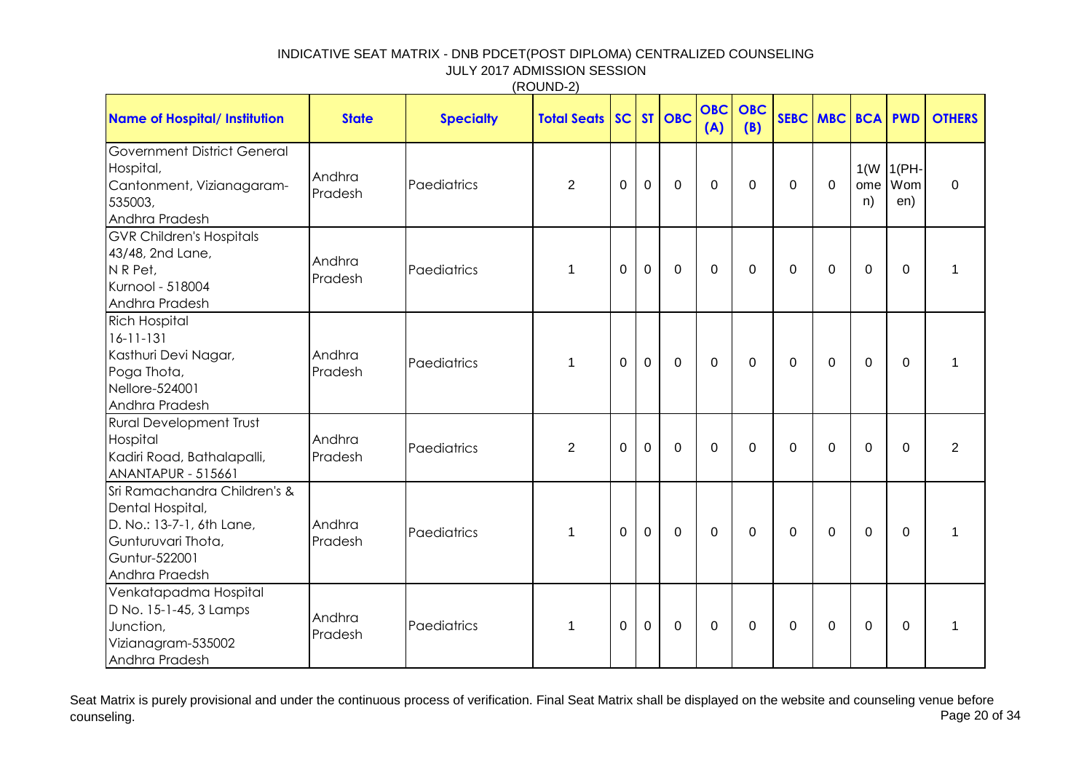| <b>Name of Hospital/ Institution</b>                                                                                                   | <b>State</b>      | <b>Specialty</b> | <b>Total Seats</b> | SC          |             | $ST$ OBC    | <b>OBC</b><br>(A) | <b>OBC</b><br>(B) |                | SEBC MBC BCA |                | <b>PWD</b>                   | <b>OTHERS</b>  |
|----------------------------------------------------------------------------------------------------------------------------------------|-------------------|------------------|--------------------|-------------|-------------|-------------|-------------------|-------------------|----------------|--------------|----------------|------------------------------|----------------|
| <b>Government District General</b><br>Hospital,<br>Cantonment, Vizianagaram-<br>535003,<br>Andhra Pradesh                              | Andhra<br>Pradesh | Paediatrics      | $\overline{2}$     | $\Omega$    | $\mathbf 0$ | $\mathbf 0$ | $\mathbf 0$       | $\mathbf 0$       | 0              | $\mathbf 0$  | ome<br>n)      | $1(W   1(PH -$<br>Wom<br>en) | $\mathbf 0$    |
| <b>GVR Children's Hospitals</b><br>43/48, 2nd Lane,<br>NR Pet,<br>Kurnool - 518004<br>Andhra Pradesh                                   | Andhra<br>Pradesh | Paediatrics      | 1                  | 0           | $\mathbf 0$ | $\mathbf 0$ | 0                 | $\overline{0}$    | 0              | $\Omega$     | $\mathbf 0$    | $\mathbf 0$                  | 1              |
| <b>Rich Hospital</b><br>$16 - 11 - 131$<br>Kasthuri Devi Nagar,<br>Poga Thota,<br>Nellore-524001<br>Andhra Pradesh                     | Andhra<br>Pradesh | Paediatrics      | 1                  | $\Omega$    | $\mathbf 0$ | $\mathbf 0$ | $\Omega$          | $\mathbf 0$       | 0              | $\Omega$     | $\mathbf 0$    | $\mathbf 0$                  | 1              |
| <b>Rural Development Trust</b><br>Hospital<br>Kadiri Road, Bathalapalli,<br><b>ANANTAPUR - 515661</b>                                  | Andhra<br>Pradesh | Paediatrics      | $\overline{2}$     | $\mathbf 0$ | $\mathbf 0$ | $\mathbf 0$ | $\mathbf 0$       | $\overline{0}$    | $\overline{0}$ | 0            | $\overline{0}$ | $\mathbf 0$                  | $\overline{2}$ |
| Sri Ramachandra Children's &<br>Dental Hospital,<br>D. No.: 13-7-1, 6th Lane,<br>Gunturuvari Thota,<br>Guntur-522001<br>Andhra Praedsh | Andhra<br>Pradesh | Paediatrics      | 1                  | 0           | 0           | $\mathbf 0$ | $\mathbf 0$       | $\overline{0}$    | $\mathbf 0$    | 0            | $\mathbf 0$    | $\overline{0}$               | 1              |
| Venkatapadma Hospital<br>D No. 15-1-45, 3 Lamps<br>Junction,<br>Vizianagram-535002<br>Andhra Pradesh                                   | Andhra<br>Pradesh | Paediatrics      | 1                  | 0           | 0           | $\mathbf 0$ | 0                 | 0                 | $\mathbf 0$    | $\Omega$     | $\mathbf 0$    | 0                            | 1              |

Seat Matrix is purely provisional and under the continuous process of verification. Final Seat Matrix shall be displayed on the website and counseling venue before<br>Page 20 of 34 counseling. Page 20 of 34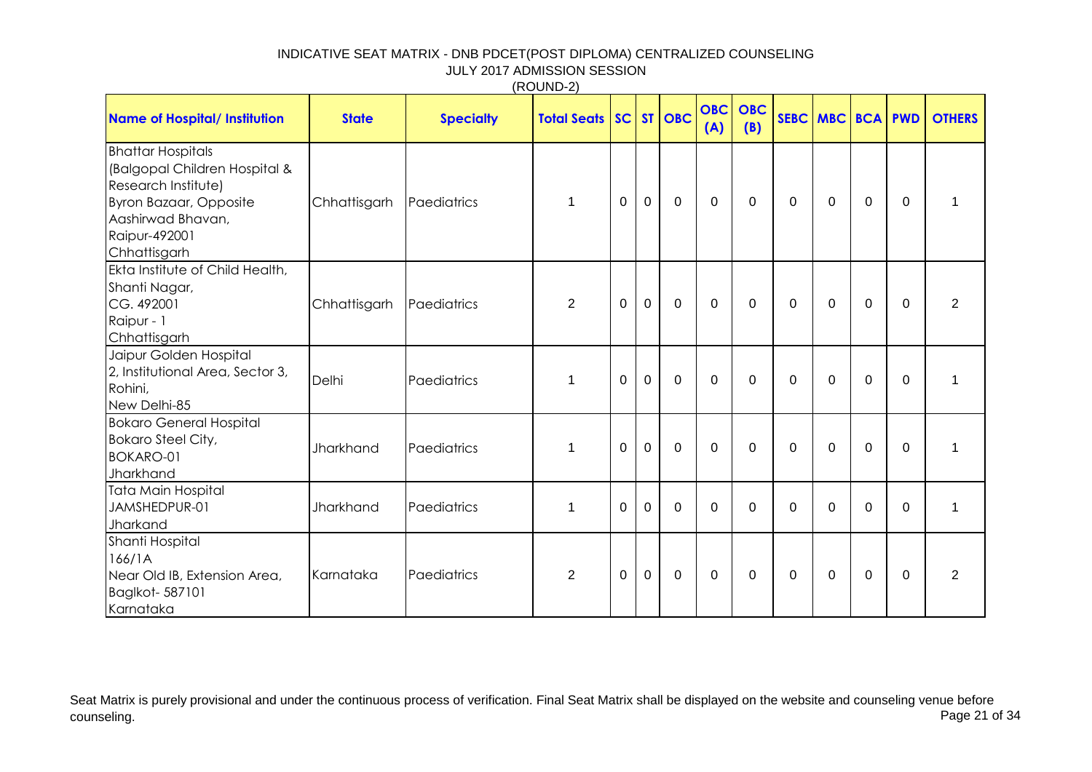| (ROUND-2) |
|-----------|
|-----------|

| <b>Name of Hospital/ Institution</b>                                                                                                                                    | <b>State</b> | <b>Specialty</b> | <b>Total Seats SC</b> |          |             | $ST$ OBC    | <b>OBC</b><br>(A) | <b>OBC</b><br>(B) |              | SEBC MBC BCA PWD |              |          | <b>OTHERS</b>  |
|-------------------------------------------------------------------------------------------------------------------------------------------------------------------------|--------------|------------------|-----------------------|----------|-------------|-------------|-------------------|-------------------|--------------|------------------|--------------|----------|----------------|
| <b>Bhattar Hospitals</b><br>(Balgopal Children Hospital &<br>Research Institute)<br><b>Byron Bazaar, Opposite</b><br>Aashirwad Bhavan,<br>Raipur-492001<br>Chhattisgarh | Chhattisgarh | Paediatrics      | $\mathbf 1$           | 0        | $\mathbf 0$ | $\mathbf 0$ | $\mathbf{0}$      | $\mathbf{0}$      | 0            | $\Omega$         | $\mathbf{0}$ | $\Omega$ | 1              |
| Ekta Institute of Child Health,<br>Shanti Nagar,<br>CG. 492001<br>Raipur - 1<br>Chhattisgarh                                                                            | Chhattisgarh | Paediatrics      | $\overline{2}$        | $\Omega$ | $\mathbf 0$ | $\mathbf 0$ | $\Omega$          | $\mathbf{0}$      | $\Omega$     | $\Omega$         | $\Omega$     | $\Omega$ | 2              |
| Jaipur Golden Hospital<br>2, Institutional Area, Sector 3,<br>Rohini,<br>New Delhi-85                                                                                   | Delhi        | Paediatrics      | 1                     | 0        | $\mathbf 0$ | $\mathbf 0$ | $\Omega$          | $\Omega$          | 0            | $\overline{0}$   | $\Omega$     | 0        | 1              |
| <b>Bokaro General Hospital</b><br><b>Bokaro Steel City,</b><br><b>BOKARO-01</b><br>Jharkhand                                                                            | Jharkhand    | Paediatrics      | $\mathbf 1$           | $\Omega$ | $\mathbf 0$ | $\mathbf 0$ | $\Omega$          | $\mathbf{0}$      | $\mathbf{0}$ | $\Omega$         | $\Omega$     | $\Omega$ | 1              |
| Tata Main Hospital<br>JAMSHEDPUR-01<br>Jharkand                                                                                                                         | Jharkhand    | Paediatrics      | $\mathbf 1$           | $\Omega$ | $\Omega$    | $\Omega$    | $\Omega$          | $\Omega$          | $\Omega$     | $\Omega$         | $\Omega$     | $\Omega$ | $\mathbf 1$    |
| Shanti Hospital<br>166/1A<br>Near Old IB, Extension Area,<br>Baglkot-587101<br>Karnataka                                                                                | Karnataka    | Paediatrics      | $\overline{2}$        | 0        | $\mathbf 0$ | $\mathbf 0$ | 0                 | $\Omega$          | 0            | $\Omega$         | 0            | 0        | $\overline{2}$ |

Seat Matrix is purely provisional and under the continuous process of verification. Final Seat Matrix shall be displayed on the website and counseling venue before<br>Page 21 of 34 counseling. Page 21 of 34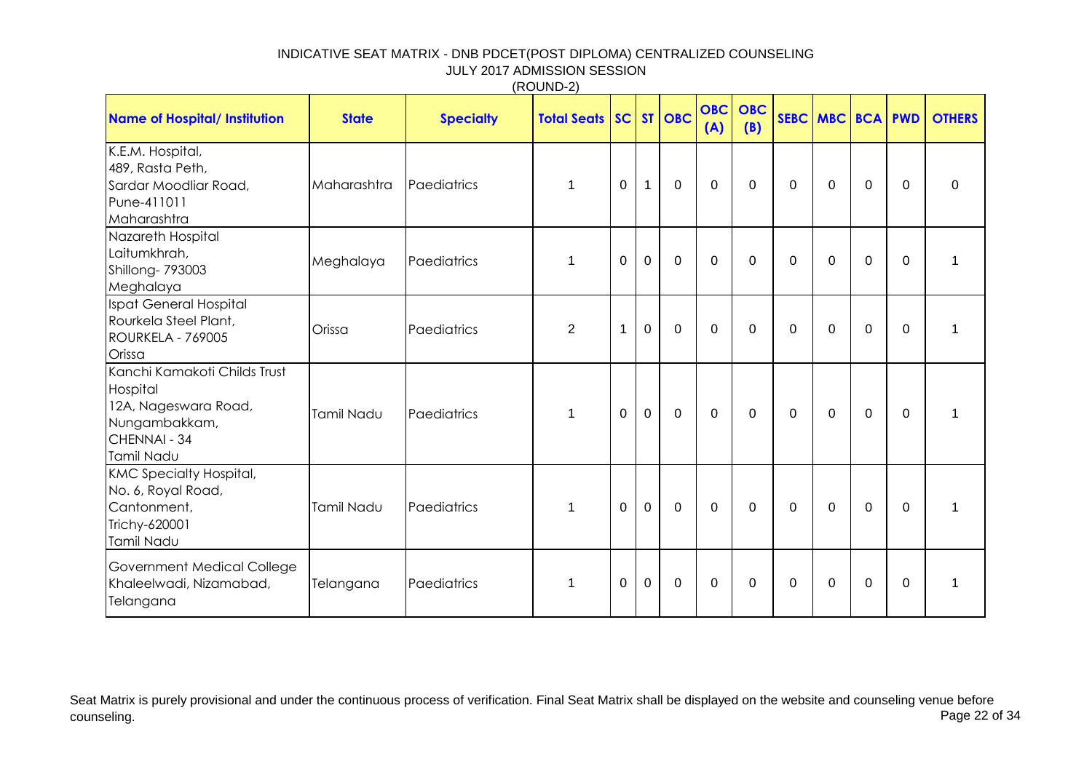|                                                                                                                 |                   |                  | (ROUND-2)          |             |              |             |                   |                   |             |              |                |             |               |
|-----------------------------------------------------------------------------------------------------------------|-------------------|------------------|--------------------|-------------|--------------|-------------|-------------------|-------------------|-------------|--------------|----------------|-------------|---------------|
| <b>Name of Hospital/ Institution</b>                                                                            | <b>State</b>      | <b>Specialty</b> | <b>Total Seats</b> | SC          |              | ST OBC      | <b>OBC</b><br>(A) | <b>OBC</b><br>(B) |             | SEBC MBC BCA |                | <b>PWD</b>  | <b>OTHERS</b> |
| K.E.M. Hospital,<br>489, Rasta Peth,<br>Sardar Moodliar Road,<br>Pune-411011<br>Maharashtra                     | Maharashtra       | Paediatrics      | $\mathbf{1}$       | $\mathbf 0$ | $\mathbf{1}$ | $\mathbf 0$ | $\mathbf 0$       | $\mathbf 0$       | $\mathbf 0$ | $\mathbf 0$  | $\mathbf 0$    | $\mathbf 0$ | 0             |
| Nazareth Hospital<br>Laitumkhrah,<br>Shillong-793003<br>Meghalaya                                               | Meghalaya         | Paediatrics      | 1                  | $\mathbf 0$ | $\mathbf 0$  | $\mathbf 0$ | $\mathbf 0$       | $\mathbf 0$       | 0           | $\mathbf 0$  | $\mathbf 0$    | $\mathbf 0$ | $\mathbf 1$   |
| Ispat General Hospital<br>Rourkela Steel Plant,<br>ROURKELA - 769005<br>Orissa                                  | Orissa            | Paediatrics      | $\overline{2}$     | $\mathbf 1$ | $\mathbf 0$  | $\mathbf 0$ | $\mathbf 0$       | $\mathbf 0$       | 0           | $\mathbf 0$  | $\mathbf 0$    | $\mathbf 0$ | $\mathbf 1$   |
| Kanchi Kamakoti Childs Trust<br>Hospital<br>12A, Nageswara Road,<br>Nungambakkam,<br>CHENNAI - 34<br>Tamil Nadu | Tamil Nadu        | Paediatrics      | 1                  | $\mathbf 0$ | $\mathbf{0}$ | $\mathbf 0$ | $\overline{0}$    | $\mathbf 0$       | $\mathbf 0$ | $\mathbf 0$  | $\mathbf 0$    | $\mathbf 0$ | 1             |
| <b>KMC Specialty Hospital,</b><br>No. 6, Royal Road,<br>Cantonment,<br>Trichy-620001<br>Tamil Nadu              | <b>Tamil Nadu</b> | Paediatrics      | $\mathbf{1}$       | $\mathbf 0$ | $\mathbf 0$  | $\mathbf 0$ | $\overline{0}$    | $\mathbf 0$       | $\mathbf 0$ | $\mathbf 0$  | $\mathbf 0$    | $\mathbf 0$ | $\mathbf 1$   |
| Government Medical College<br>Khaleelwadi, Nizamabad,<br>Telangana                                              | Telangana         | Paediatrics      | 1                  | $\Omega$    | $\mathbf 0$  | $\mathbf 0$ | $\Omega$          | $\Omega$          | 0           | $\Omega$     | $\overline{0}$ | $\Omega$    | $\mathbf{1}$  |

Seat Matrix is purely provisional and under the continuous process of verification. Final Seat Matrix shall be displayed on the website and counseling venue before<br>Page 22 of 34 counseling. Page 22 of 34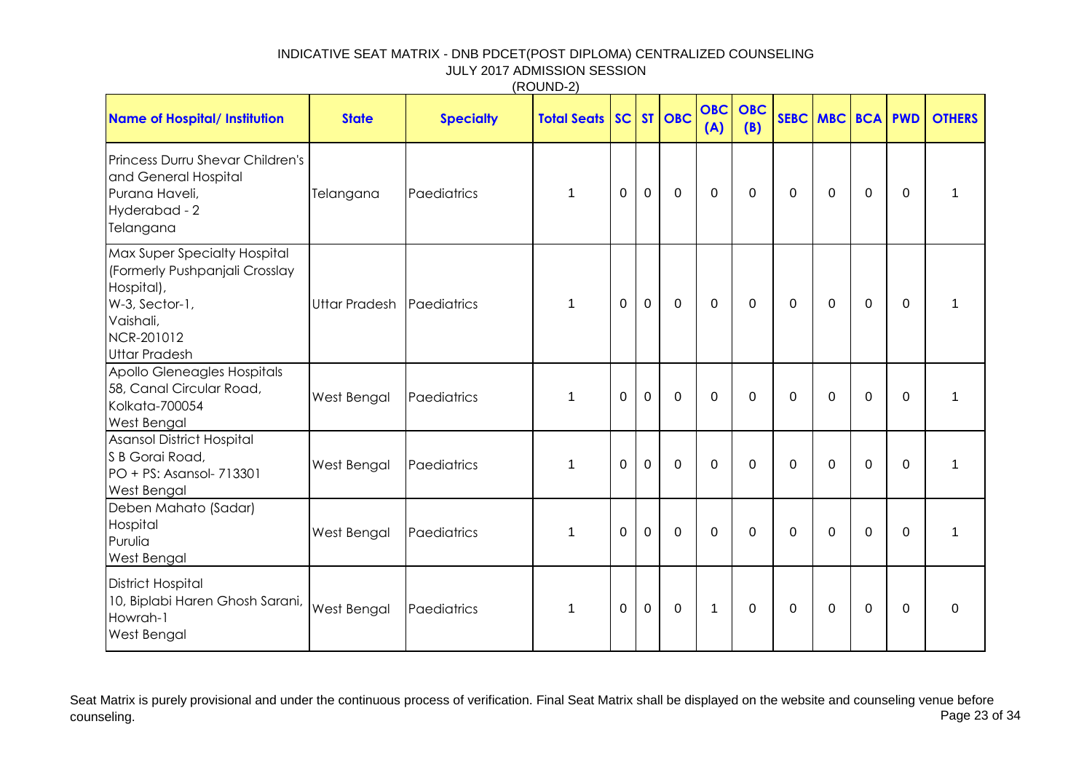| <b>Name of Hospital/ Institution</b>                                                                                                              | <b>State</b>         | <b>Specialty</b> | <b>Total Seats</b> |                |                | SC ST OBC   | <b>OBC</b><br>(A) | <b>OBC</b><br>(B) | SEBC MBC BCA PWD |             |             |             | <b>OTHERS</b> |
|---------------------------------------------------------------------------------------------------------------------------------------------------|----------------------|------------------|--------------------|----------------|----------------|-------------|-------------------|-------------------|------------------|-------------|-------------|-------------|---------------|
| Princess Durru Shevar Children's<br>and General Hospital<br>Purana Haveli,<br>Hyderabad - 2<br>Telangana                                          | Telangana            | Paediatrics      | 1                  | $\overline{0}$ | $\mathbf 0$    | $\mathbf 0$ | $\mathbf 0$       | $\mathbf 0$       | 0                | $\Omega$    | $\mathbf 0$ | $\mathbf 0$ | $\mathbf{1}$  |
| Max Super Specialty Hospital<br>(Formerly Pushpanjali Crosslay<br>Hospital),<br>W-3, Sector-1,<br>Vaishali,<br>NCR-201012<br><b>Uttar Pradesh</b> | <b>Uttar Pradesh</b> | Paediatrics      | 1                  | $\overline{0}$ | $\mathbf 0$    | $\mathbf 0$ | $\mathbf 0$       | $\mathbf 0$       | 0                | $\Omega$    | $\mathbf 0$ | 0           | $\mathbf{1}$  |
| Apollo Gleneagles Hospitals<br>58, Canal Circular Road,<br>Kolkata-700054<br><b>West Bengal</b>                                                   | West Bengal          | Paediatrics      | 1                  | $\Omega$       | $\overline{0}$ | $\mathbf 0$ | $\mathbf 0$       | $\mathbf 0$       | 0                | $\Omega$    | $\mathbf 0$ | $\mathbf 0$ | $\mathbf{1}$  |
| Asansol District Hospital<br>S B Gorai Road,<br>$PO + PS: Asansol-713301$<br><b>West Bengal</b>                                                   | West Bengal          | Paediatrics      | 1                  | $\mathbf 0$    | $\mathbf 0$    | $\mathbf 0$ | $\mathbf 0$       | $\mathbf 0$       | $\mathbf 0$      | $\mathbf 0$ | $\mathbf 0$ | $\mathbf 0$ | $\mathbf{1}$  |
| Deben Mahato (Sadar)<br>Hospital<br>Purulia<br><b>West Bengal</b>                                                                                 | West Bengal          | Paediatrics      | 1                  | $\Omega$       | $\overline{0}$ | $\mathbf 0$ | $\mathbf 0$       | $\mathbf 0$       | $\mathbf 0$      | $\Omega$    | $\mathbf 0$ | $\mathbf 0$ | $\mathbf{1}$  |
| <b>District Hospital</b><br>10, Biplabi Haren Ghosh Sarani,<br>Howrah-1<br><b>West Bengal</b>                                                     | West Bengal          | Paediatrics      | 1                  | 0              | 0              | 0           | $\mathbf 1$       | $\mathbf 0$       | 0                | 0           | 0           | 0           | 0             |

(ROUND-2)

Seat Matrix is purely provisional and under the continuous process of verification. Final Seat Matrix shall be displayed on the website and counseling venue before<br>Page 23 of 34 counseling. Page 23 of 34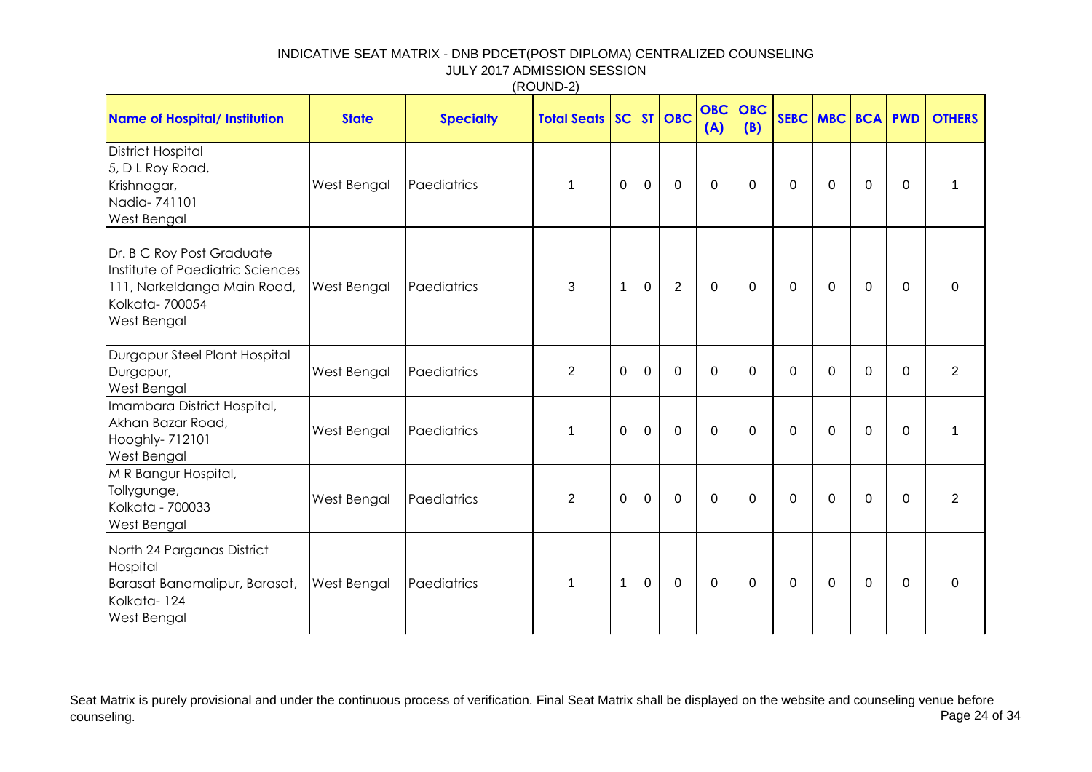|                                                                                                                                      |              |                  | (ROUND-2)                    |                |              |                |                   |                   |             |                  |                |                |                |
|--------------------------------------------------------------------------------------------------------------------------------------|--------------|------------------|------------------------------|----------------|--------------|----------------|-------------------|-------------------|-------------|------------------|----------------|----------------|----------------|
| <b>Name of Hospital/ Institution</b>                                                                                                 | <b>State</b> | <b>Specialty</b> | <b>Total Seats SC ST OBC</b> |                |              |                | <b>OBC</b><br>(A) | <b>OBC</b><br>(B) |             | SEBC MBC BCA PWD |                |                | <b>OTHERS</b>  |
| <b>District Hospital</b><br>5, D L Roy Road,<br>Krishnagar,<br>Nadia-741101<br>West Bengal                                           | West Bengal  | Paediatrics      | $\mathbf 1$                  | $\mathbf 0$    | $\mathbf 0$  | $\mathbf 0$    | $\mathbf 0$       | $\mathbf 0$       | 0           | 0                | $\mathbf 0$    | 0              | 1              |
| Dr. B C Roy Post Graduate<br>Institute of Paediatric Sciences<br>111, Narkeldanga Main Road,<br>Kolkata-700054<br><b>West Bengal</b> | West Bengal  | Paediatrics      | 3                            | $\mathbf{1}$   | $\mathbf{0}$ | $\overline{2}$ | $\mathbf 0$       | $\mathbf 0$       | 0           | $\Omega$         | $\mathbf 0$    | $\Omega$       | $\mathbf{0}$   |
| Durgapur Steel Plant Hospital<br>Durgapur,<br>West Bengal                                                                            | West Bengal  | Paediatrics      | $\overline{2}$               | $\mathbf 0$    | $\mathbf 0$  | $\mathbf 0$    | $\mathbf 0$       | $\mathbf 0$       | 0           | $\mathbf 0$      | $\mathbf 0$    | $\mathbf 0$    | $\overline{2}$ |
| Imambara District Hospital,<br>Akhan Bazar Road,<br>Hooghly- 712101<br><b>West Bengal</b>                                            | West Bengal  | Paediatrics      | $\mathbf{1}$                 | $\overline{0}$ | $\mathbf{0}$ | $\mathbf 0$    | $\overline{0}$    | $\overline{0}$    | $\mathbf 0$ | $\mathbf 0$      | $\overline{0}$ | $\overline{0}$ | $\mathbf{1}$   |
| M R Bangur Hospital,<br>Tollygunge,<br>Kolkata - 700033<br><b>West Bengal</b>                                                        | West Bengal  | Paediatrics      | $\overline{2}$               | $\mathbf 0$    | $\mathbf 0$  | $\mathbf 0$    | $\mathbf 0$       | $\mathbf 0$       | 0           | $\mathbf 0$      | $\mathbf 0$    | $\overline{0}$ | $\overline{2}$ |
| North 24 Parganas District<br>Hospital<br>Barasat Banamalipur, Barasat,<br>Kolkata-124<br><b>West Bengal</b>                         | West Bengal  | Paediatrics      | $\mathbf{1}$                 | 1              | $\mathbf 0$  | $\mathbf 0$    | $\mathbf 0$       | $\mathbf 0$       | 0           | 0                | $\mathbf 0$    | $\overline{0}$ | 0              |

Seat Matrix is purely provisional and under the continuous process of verification. Final Seat Matrix shall be displayed on the website and counseling venue before<br>Page 24 of 34 counseling. Page 24 of 34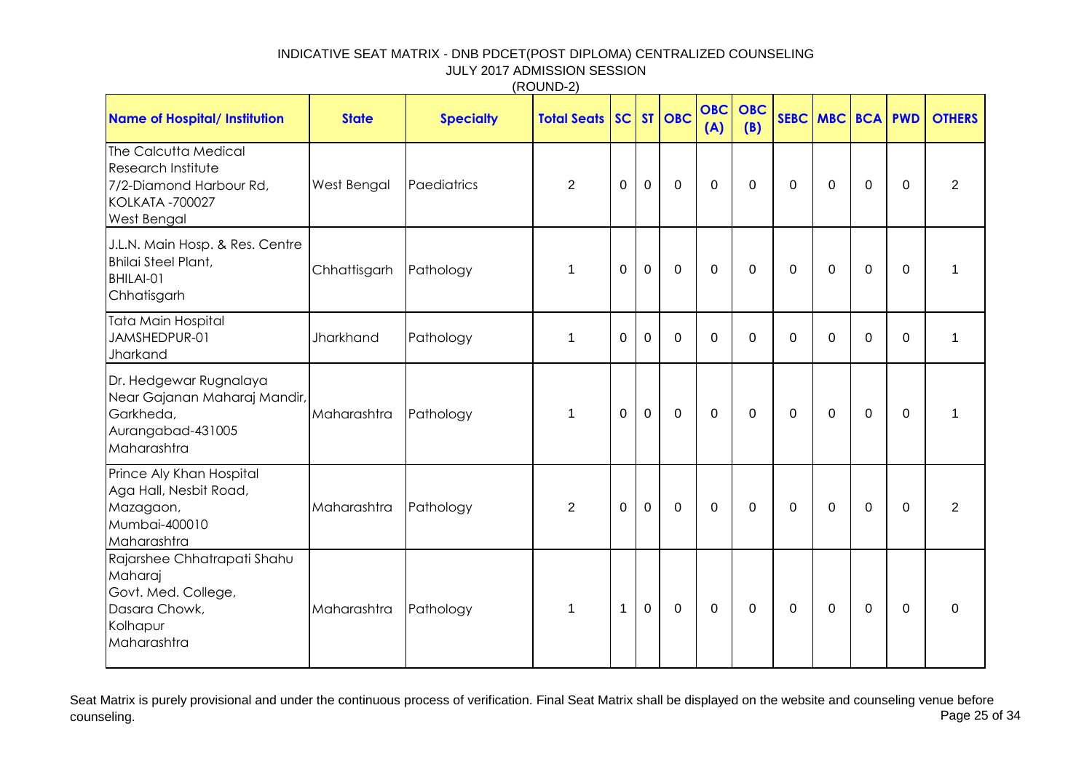|                                                                                                                       |              |                  | (1001122)          |                |             |             |                   |                   |             |                     |             |             |               |
|-----------------------------------------------------------------------------------------------------------------------|--------------|------------------|--------------------|----------------|-------------|-------------|-------------------|-------------------|-------------|---------------------|-------------|-------------|---------------|
| <b>Name of Hospital/ Institution</b>                                                                                  | <b>State</b> | <b>Specialty</b> | <b>Total Seats</b> | SC             |             | $ST$ OBC    | <b>OBC</b><br>(A) | <b>OBC</b><br>(B) |             | <b>SEBC MBC BCA</b> |             | <b>PWD</b>  | <b>OTHERS</b> |
| The Calcutta Medical<br>Research Institute<br>7/2-Diamond Harbour Rd,<br><b>KOLKATA -700027</b><br><b>West Bengal</b> | West Bengal  | Paediatrics      | $\overline{2}$     | 0              | $\mathbf 0$ | $\mathbf 0$ | $\Omega$          | 0                 | 0           | $\Omega$            | $\mathbf 0$ | $\mathbf 0$ | 2             |
| J.L.N. Main Hosp. & Res. Centre<br>Bhilai Steel Plant,<br>BHILAI-01<br>Chhatisgarh                                    | Chhattisgarh | Pathology        | 1                  | $\overline{0}$ | $\mathbf 0$ | $\mathbf 0$ | $\mathbf 0$       | $\boldsymbol{0}$  | $\mathbf 0$ | 0                   | $\mathbf 0$ | $\mathbf 0$ | $\mathbf 1$   |
| Tata Main Hospital<br>JAMSHEDPUR-01<br>Jharkand                                                                       | Jharkhand    | Pathology        | 1                  | 0              | 0           | $\mathbf 0$ | 0                 | 0                 | 0           | 0                   | 0           | $\mathbf 0$ | $\mathbf{1}$  |
| Dr. Hedgewar Rugnalaya<br>Near Gajanan Maharaj Mandir,<br>Garkheda,<br>Aurangabad-431005<br>Maharashtra               | Maharashtra  | Pathology        | 1                  | $\Omega$       | $\mathbf 0$ | $\mathbf 0$ | $\mathbf 0$       | $\overline{0}$    | $\mathbf 0$ | $\Omega$            | $\mathbf 0$ | $\mathbf 0$ | 1             |
| Prince Aly Khan Hospital<br>Aga Hall, Nesbit Road,<br>Mazagaon,<br>Mumbai-400010<br>Maharashtra                       | Maharashtra  | Pathology        | $\overline{2}$     | $\overline{0}$ | $\mathbf 0$ | $\mathbf 0$ | $\Omega$          | 0                 | 0           | $\Omega$            | $\mathbf 0$ | 0           | 2             |
| Rajarshee Chhatrapati Shahu<br>Maharaj<br>Govt. Med. College,<br>Dasara Chowk,<br>Kolhapur<br>Maharashtra             | Maharashtra  | Pathology        | $\mathbf{1}$       | $\mathbf{1}$   | $\mathbf 0$ | $\mathbf 0$ | $\mathbf 0$       | $\mathbf 0$       | $\mathbf 0$ | $\mathbf 0$         | $\mathbf 0$ | $\mathbf 0$ | $\mathbf 0$   |

Seat Matrix is purely provisional and under the continuous process of verification. Final Seat Matrix shall be displayed on the website and counseling venue before<br>Page 25 of 34 counseling. Page 25 of 34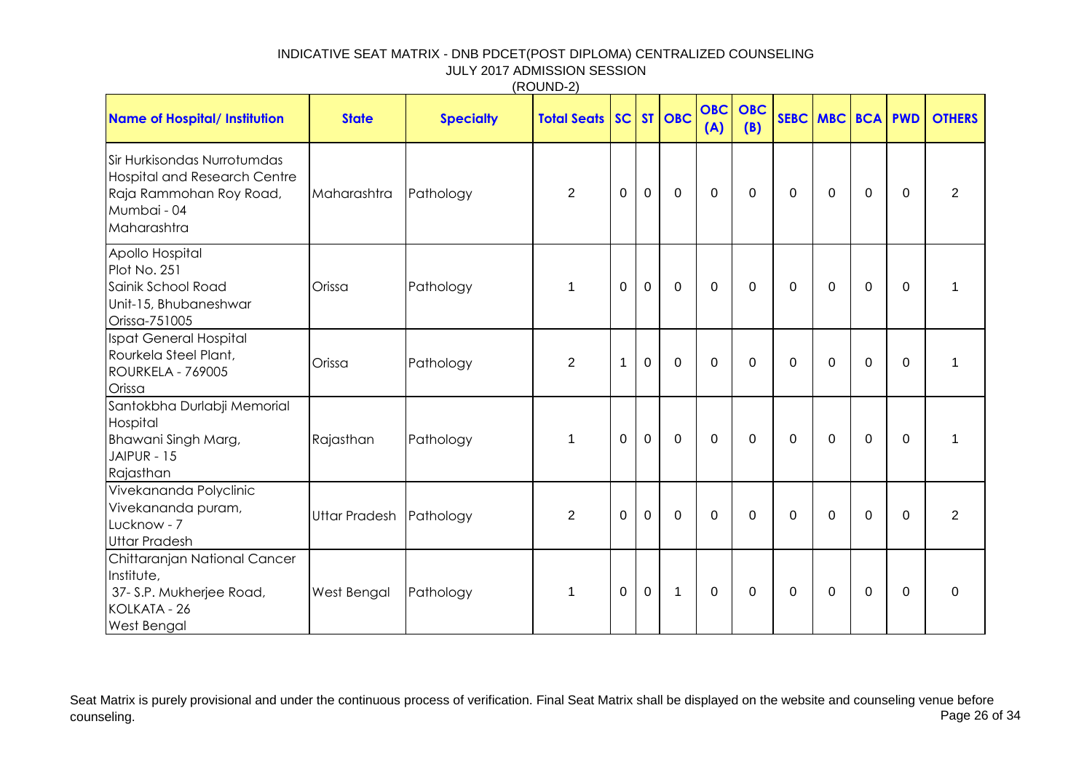|                                                                                                                             |                      |                  | (ROUND-2)          |              |             |                  |                   |                   |             |              |             |             |                |
|-----------------------------------------------------------------------------------------------------------------------------|----------------------|------------------|--------------------|--------------|-------------|------------------|-------------------|-------------------|-------------|--------------|-------------|-------------|----------------|
| <b>Name of Hospital/ Institution</b>                                                                                        | <b>State</b>         | <b>Specialty</b> | <b>Total Seats</b> |              |             | <b>SC ST OBC</b> | <b>OBC</b><br>(A) | <b>OBC</b><br>(B) |             | SEBC MBC BCA |             | <b>PWD</b>  | <b>OTHERS</b>  |
| Sir Hurkisondas Nurrotumdas<br><b>Hospital and Research Centre</b><br>Raja Rammohan Roy Road,<br>Mumbai - 04<br>Maharashtra | Maharashtra          | Pathology        | $\overline{2}$     | $\mathbf 0$  | $\mathbf 0$ | $\mathbf 0$      | $\mathbf 0$       | $\mathbf 0$       | 0           | 0            | $\mathbf 0$ | $\mathbf 0$ | $\overline{2}$ |
| Apollo Hospital<br>Plot No. 251<br>Sainik School Road<br>Unit-15, Bhubaneshwar<br>Orissa-751005                             | Orissa               | Pathology        | 1                  | $\Omega$     | $\mathbf 0$ | $\mathbf 0$      | $\Omega$          | $\Omega$          | 0           | $\Omega$     | $\mathbf 0$ | $\Omega$    | 1              |
| Ispat General Hospital<br>Rourkela Steel Plant,<br><b>ROURKELA - 769005</b><br>Orissa                                       | Orissa               | Pathology        | $\overline{2}$     | $\mathbf{1}$ | $\mathbf 0$ | $\mathbf 0$      | $\Omega$          | $\mathbf 0$       | $\mathbf 0$ | 0            | $\mathbf 0$ | $\mathbf 0$ | 1              |
| Santokbha Durlabji Memorial<br>Hospital<br>Bhawani Singh Marg,<br>JAIPUR - 15<br>Rajasthan                                  | Rajasthan            | Pathology        | 1                  | $\Omega$     | $\mathbf 0$ | 0                | $\Omega$          | $\mathbf 0$       | 0           | 0            | $\mathbf 0$ | $\mathbf 0$ | 1              |
| Vivekananda Polyclinic<br>Vivekananda puram,<br>Lucknow - 7<br><b>Uttar Pradesh</b>                                         | <b>Uttar Pradesh</b> | Pathology        | $\overline{2}$     | $\Omega$     | $\mathbf 0$ | 0                | $\mathbf 0$       | $\mathbf 0$       | 0           | 0            | $\mathbf 0$ | $\mathbf 0$ | $\overline{2}$ |
| Chittaranjan National Cancer<br>Institute,<br>37- S.P. Mukherjee Road,<br>KOLKATA - 26<br>West Bengal                       | West Bengal          | Pathology        | $\mathbf{1}$       | $\mathbf 0$  | $\mathbf 0$ | $\mathbf{1}$     | $\mathbf 0$       | $\mathbf 0$       | $\mathbf 0$ | 0            | $\mathbf 0$ | $\mathbf 0$ | $\mathbf 0$    |

Seat Matrix is purely provisional and under the continuous process of verification. Final Seat Matrix shall be displayed on the website and counseling venue before<br>Page 26 of 34 counseling. Page 26 of 34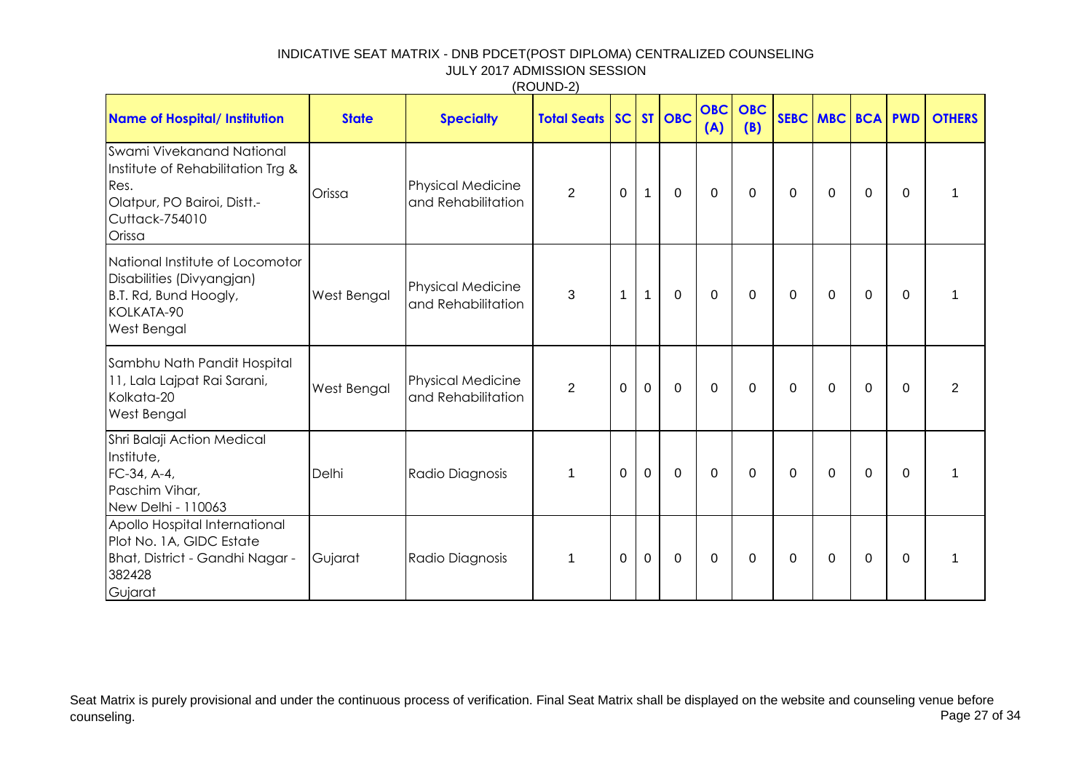|                                                                                                                                   |              |                                                | , <u>.</u>            |              |              |             |                   |                   |   |                  |                |             |                |
|-----------------------------------------------------------------------------------------------------------------------------------|--------------|------------------------------------------------|-----------------------|--------------|--------------|-------------|-------------------|-------------------|---|------------------|----------------|-------------|----------------|
| <b>Name of Hospital/ Institution</b>                                                                                              | <b>State</b> | <b>Specialty</b>                               | <b>Total Seats SC</b> |              |              | $ST$ $OBC$  | <b>OBC</b><br>(A) | <b>OBC</b><br>(B) |   | SEBC MBC BCA PWD |                |             | <b>OTHERS</b>  |
| Swami Vivekanand National<br>Institute of Rehabilitation Trg &<br>Res.<br>Olatpur, PO Bairoi, Distt.-<br>Cuttack-754010<br>Orissa | Orissa       | Physical Medicine<br>and Rehabilitation        | $\overline{2}$        | $\Omega$     | $\mathbf 1$  | $\mathbf 0$ | $\mathbf 0$       | $\mathbf 0$       | 0 | $\Omega$         | $\mathbf 0$    | $\Omega$    | 1              |
| National Institute of Locomotor<br>Disabilities (Divyangjan)<br>B.T. Rd, Bund Hoogly,<br>KOLKATA-90<br><b>West Bengal</b>         | West Bengal  | Physical Medicine<br>and Rehabilitation        | 3                     | $\mathbf{1}$ | $\mathbf{1}$ | $\mathbf 0$ | $\mathbf 0$       | $\mathbf 0$       | 0 | $\mathbf{0}$     | $\mathbf 0$    | $\Omega$    | 1              |
| Sambhu Nath Pandit Hospital<br>11, Lala Lajpat Rai Sarani,<br>Kolkata-20<br><b>West Bengal</b>                                    | West Bengal  | <b>Physical Medicine</b><br>and Rehabilitation | $\overline{2}$        | $\mathbf 0$  | $\mathbf 0$  | $\mathbf 0$ | $\mathbf 0$       | $\overline{0}$    | 0 | $\Omega$         | $\mathbf 0$    | $\Omega$    | $\overline{2}$ |
| Shri Balaji Action Medical<br>Institute,<br>FC-34, A-4,<br>Paschim Vihar,<br>New Delhi - 110063                                   | Delhi        | Radio Diagnosis                                | 1                     | $\Omega$     | $\mathbf 0$  | $\mathbf 0$ | $\Omega$          | $\Omega$          | 0 | $\Omega$         | $\mathbf 0$    | $\Omega$    | 1              |
| Apollo Hospital International<br>Plot No. 1A, GIDC Estate<br>Bhat, District - Gandhi Nagar -<br>382428<br>Gujarat                 | Gujarat      | Radio Diagnosis                                | 1                     | 0            | $\mathbf 0$  | $\mathbf 0$ | $\mathbf 0$       | $\overline{0}$    | 0 | 0                | $\overline{0}$ | $\mathbf 0$ | 1              |

Seat Matrix is purely provisional and under the continuous process of verification. Final Seat Matrix shall be displayed on the website and counseling venue before<br>Page 27 of 34 counseling. Page 27 of 34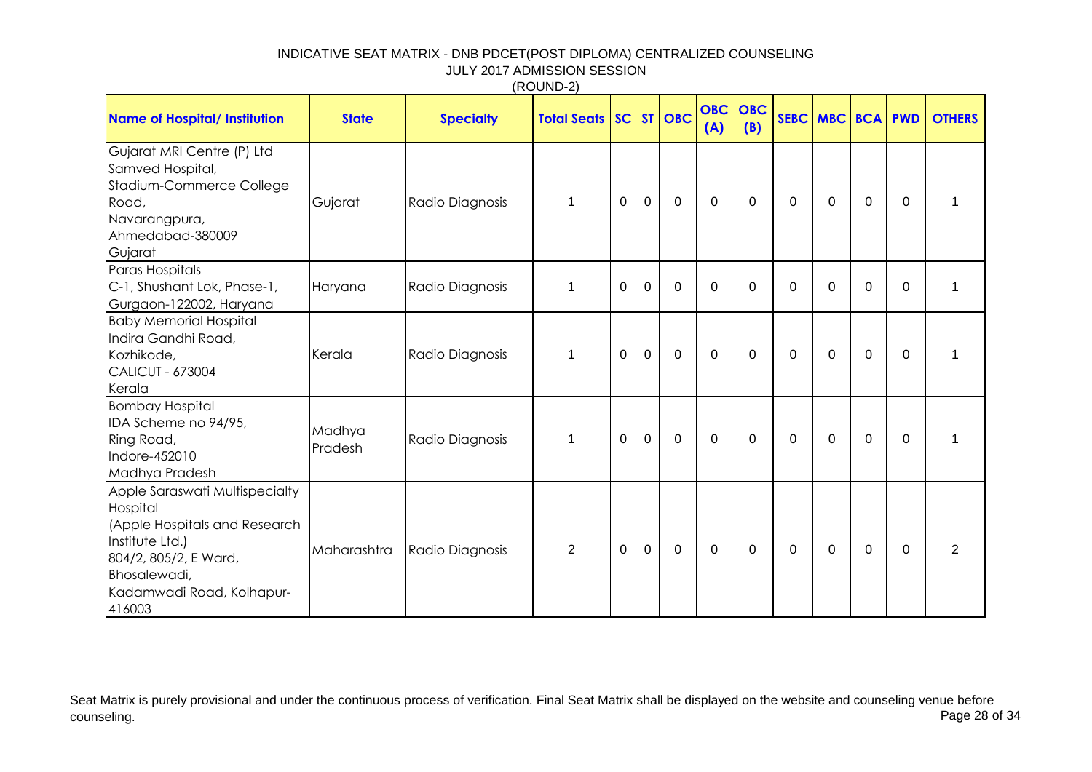| <b>Name of Hospital/ Institution</b>                                                                                                                                           | <b>State</b>      | <b>Specialty</b> | <b>Total Seats   SC  </b> |                |             | ST OBC      | <b>OBC</b><br>(A) | <b>OBC</b><br>(B) |             | SEBC MBC BCA PWD |             |              | <b>OTHERS</b>  |
|--------------------------------------------------------------------------------------------------------------------------------------------------------------------------------|-------------------|------------------|---------------------------|----------------|-------------|-------------|-------------------|-------------------|-------------|------------------|-------------|--------------|----------------|
| Gujarat MRI Centre (P) Ltd<br>Samved Hospital,<br>Stadium-Commerce College<br>Road,<br>Navarangpura,<br>Ahmedabad-380009<br>Gujarat                                            | Gujarat           | Radio Diagnosis  | $\mathbf{1}$              | $\mathbf 0$    | $\mathbf 0$ | $\mathbf 0$ | $\Omega$          | $\Omega$          | 0           | $\Omega$         | $\Omega$    | $\mathbf{0}$ |                |
| Paras Hospitals<br>C-1, Shushant Lok, Phase-1,<br>Gurgaon-122002, Haryana                                                                                                      | Haryana           | Radio Diagnosis  | 1                         | 0              | $\mathbf 0$ | $\mathbf 0$ | $\Omega$          | $\Omega$          | $\mathbf 0$ | $\overline{0}$   | 0           | 0            | 1              |
| <b>Baby Memorial Hospital</b><br>Indira Gandhi Road,<br>Kozhikode,<br><b>CALICUT - 673004</b><br>Kerala                                                                        | Kerala            | Radio Diagnosis  | 1                         | 0              | 0           | $\mathbf 0$ | $\mathbf{0}$      | $\Omega$          | 0           | $\Omega$         | $\Omega$    | $\Omega$     |                |
| <b>Bombay Hospital</b><br>IDA Scheme no 94/95,<br>Ring Road,<br>Indore-452010<br>Madhya Pradesh                                                                                | Madhya<br>Pradesh | Radio Diagnosis  | $\mathbf{1}$              | 0              | $\mathbf 0$ | $\mathbf 0$ | $\mathbf{0}$      | $\Omega$          | 0           | $\mathbf 0$      | $\mathbf 0$ | $\Omega$     |                |
| Apple Saraswati Multispecialty<br>Hospital<br>(Apple Hospitals and Research<br>Institute Ltd.)<br>804/2, 805/2, E Ward,<br>Bhosalewadi,<br>Kadamwadi Road, Kolhapur-<br>416003 | Maharashtra       | Radio Diagnosis  | 2                         | $\overline{0}$ | $\mathbf 0$ | $\mathbf 0$ | $\mathbf{0}$      | $\Omega$          | $\mathbf 0$ | $\Omega$         | $\Omega$    | $\mathbf{0}$ | $\overline{2}$ |

Seat Matrix is purely provisional and under the continuous process of verification. Final Seat Matrix shall be displayed on the website and counseling venue before<br>Page 28 of 34 counseling. Page 28 of 34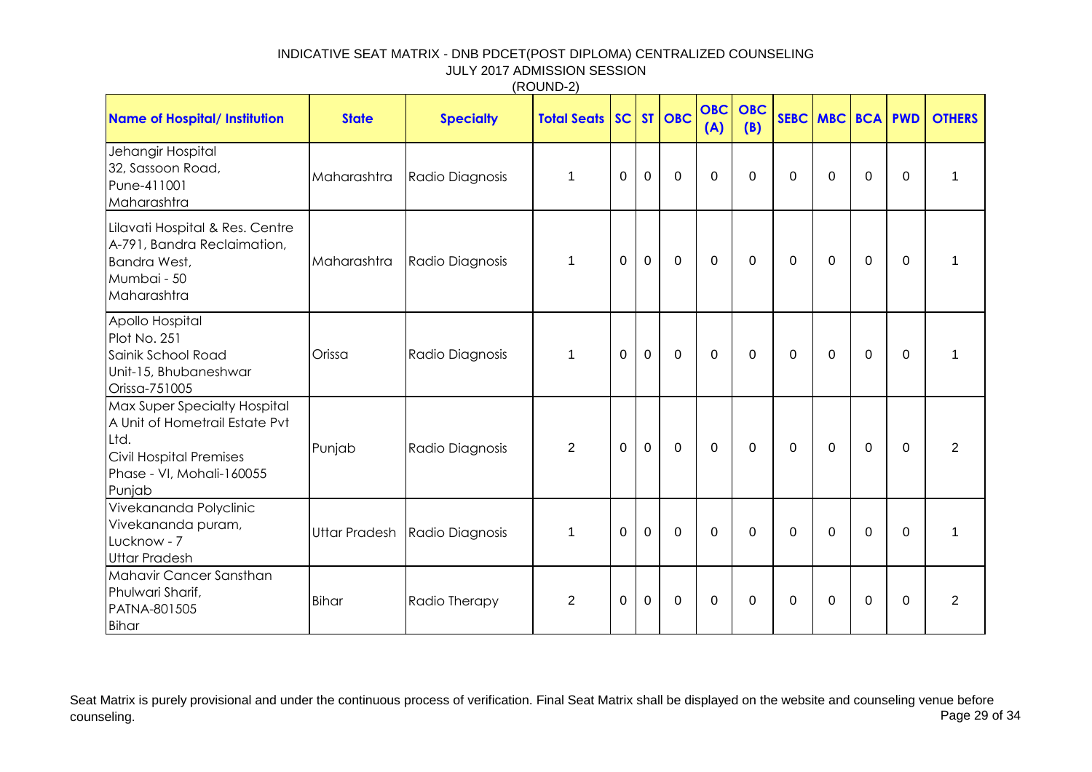| <b>Name of Hospital/ Institution</b>                                                                                                     | <b>State</b> | <b>Specialty</b>              | <b>Total Seats SC ST OBC</b> |             |                |                | <b>OBC</b><br>(A) | <b>OBC</b><br>(B) |             | SEBC MBC BCA PWD |             |                | <b>OTHERS</b>  |
|------------------------------------------------------------------------------------------------------------------------------------------|--------------|-------------------------------|------------------------------|-------------|----------------|----------------|-------------------|-------------------|-------------|------------------|-------------|----------------|----------------|
| Jehangir Hospital<br>32, Sassoon Road,<br>Pune-411001<br>Maharashtra                                                                     | Maharashtra  | Radio Diagnosis               | $\mathbf{1}$                 | $\mathbf 0$ | $\mathbf{0}$   | $\overline{0}$ | $\Omega$          | 0                 | 0           | $\Omega$         | $\mathbf 0$ | $\mathbf{0}$   | 1              |
| Lilavati Hospital & Res. Centre<br>A-791, Bandra Reclaimation,<br>Bandra West,<br>Mumbai - 50<br>Maharashtra                             | Maharashtra  | Radio Diagnosis               | $\mathbf{1}$                 | $\mathbf 0$ | $\overline{0}$ | $\mathbf 0$    | $\mathbf 0$       | $\mathbf 0$       | 0           | $\mathbf 0$      | $\mathbf 0$ | 0              | 1              |
| Apollo Hospital<br>Plot No. 251<br>Sainik School Road<br>Unit-15, Bhubaneshwar<br>Orissa-751005                                          | Orissa       | Radio Diagnosis               | $\mathbf{1}$                 | $\mathbf 0$ | $\mathbf 0$    | $\mathbf 0$    | $\Omega$          | $\Omega$          | 0           | $\Omega$         | $\Omega$    | $\Omega$       | 1              |
| Max Super Specialty Hospital<br>A Unit of Hometrail Estate Pvt<br>Ltd.<br>Civil Hospital Premises<br>Phase - VI, Mohali-160055<br>Punjab | Punjab       | Radio Diagnosis               | $\overline{2}$               | $\mathbf 0$ | $\mathbf 0$    | $\mathbf 0$    | $\mathbf 0$       | $\mathbf 0$       | 0           | $\mathbf 0$      | $\mathbf 0$ | $\mathbf 0$    | $\overline{2}$ |
| Vivekananda Polyclinic<br>Vivekananda puram,<br>Lucknow - 7<br><b>Uttar Pradesh</b>                                                      |              | Uttar Pradesh Radio Diagnosis | $\mathbf{1}$                 | $\mathbf 0$ | $\mathbf{0}$   | $\mathbf 0$    | $\mathbf 0$       | $\mathbf{0}$      | $\mathbf 0$ | $\Omega$         | $\mathbf 0$ | $\mathbf 0$    | 1              |
| Mahavir Cancer Sansthan<br>Phulwari Sharif,<br>PATNA-801505<br>Bihar                                                                     | Bihar        | Radio Therapy                 | $\overline{2}$               | $\mathbf 0$ | $\mathbf 0$    | $\mathbf 0$    | $\mathbf 0$       | $\Omega$          | 0           | $\Omega$         | $\mathbf 0$ | $\overline{0}$ | $\overline{2}$ |

Seat Matrix is purely provisional and under the continuous process of verification. Final Seat Matrix shall be displayed on the website and counseling venue before<br>Page 29 of 34 counseling. Page 29 of 34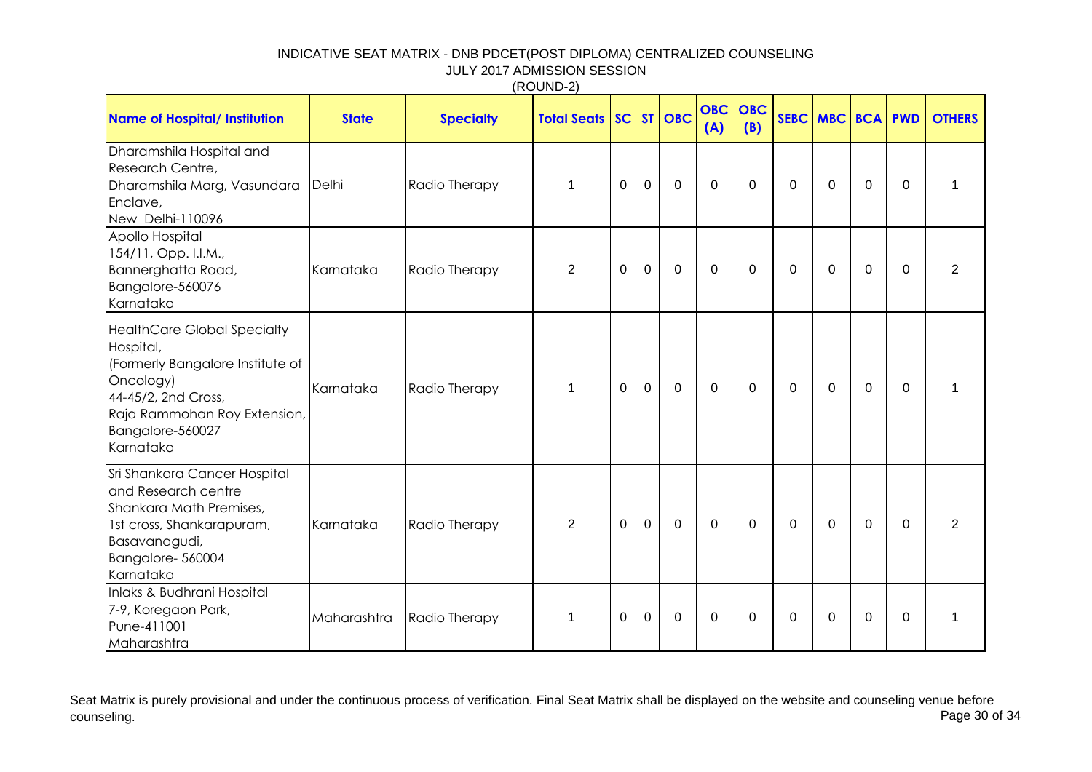|                                                                                                                                                                                          |              |                  | (1001122)          |          |              |              |                   |                   |          |                  |             |                |               |
|------------------------------------------------------------------------------------------------------------------------------------------------------------------------------------------|--------------|------------------|--------------------|----------|--------------|--------------|-------------------|-------------------|----------|------------------|-------------|----------------|---------------|
| <b>Name of Hospital/ Institution</b>                                                                                                                                                     | <b>State</b> | <b>Specialty</b> | <b>Total Seats</b> |          |              | SC ST OBC    | <b>OBC</b><br>(A) | <b>OBC</b><br>(B) |          | SEBC MBC BCA PWD |             |                | <b>OTHERS</b> |
| Dharamshila Hospital and<br>Research Centre,<br>Dharamshila Marg, Vasundara<br>Enclave,<br>New Delhi-110096                                                                              | Delhi        | Radio Therapy    | 1                  | 0        | $\mathbf 0$  | $\mathbf 0$  | 0                 | $\mathbf 0$       | 0        | 0                | $\mathbf 0$ | $\overline{0}$ | $\mathbf 1$   |
| Apollo Hospital<br>154/11, Opp. I.I.M.,<br>Bannerghatta Road,<br>Bangalore-560076<br>Karnataka                                                                                           | Karnataka    | Radio Therapy    | $\overline{2}$     | 0        | $\mathbf 0$  | $\mathbf 0$  | 0                 | 0                 | $\Omega$ | $\Omega$         | 0           | $\Omega$       | 2             |
| <b>HealthCare Global Specialty</b><br>Hospital,<br>(Formerly Bangalore Institute of<br>Oncology)<br>44-45/2, 2nd Cross,<br>Raja Rammohan Roy Extension,<br>Bangalore-560027<br>Karnataka | Karnataka    | Radio Therapy    | $\mathbf{1}$       | 0        | $\mathbf 0$  | $\mathbf 0$  | $\mathbf 0$       | $\mathbf 0$       | $\Omega$ | 0                | $\mathbf 0$ | $\mathbf 0$    | $\mathbf{1}$  |
| Sri Shankara Cancer Hospital<br>and Research centre<br>Shankara Math Premises,<br>1st cross, Shankarapuram,<br>Basavanagudi,<br>Bangalore-560004<br>Karnataka                            | Karnataka    | Radio Therapy    | 2                  | $\Omega$ | $\mathbf{0}$ | $\mathbf{0}$ | $\mathbf 0$       | $\mathbf 0$       | $\Omega$ | $\mathbf{0}$     | $\mathbf 0$ | $\Omega$       | 2             |
| Inlaks & Budhrani Hospital<br>7-9, Koregaon Park,<br>Pune-411001<br>Maharashtra                                                                                                          | Maharashtra  | Radio Therapy    | 1                  | 0        | 0            | 0            | $\Omega$          | 0                 | $\Omega$ | $\Omega$         | 0           | $\Omega$       | $\mathbf 1$   |

 $(RO$ UND-2)

Seat Matrix is purely provisional and under the continuous process of verification. Final Seat Matrix shall be displayed on the website and counseling venue before<br>Page 30 of 34 counseling. Page 30 of 34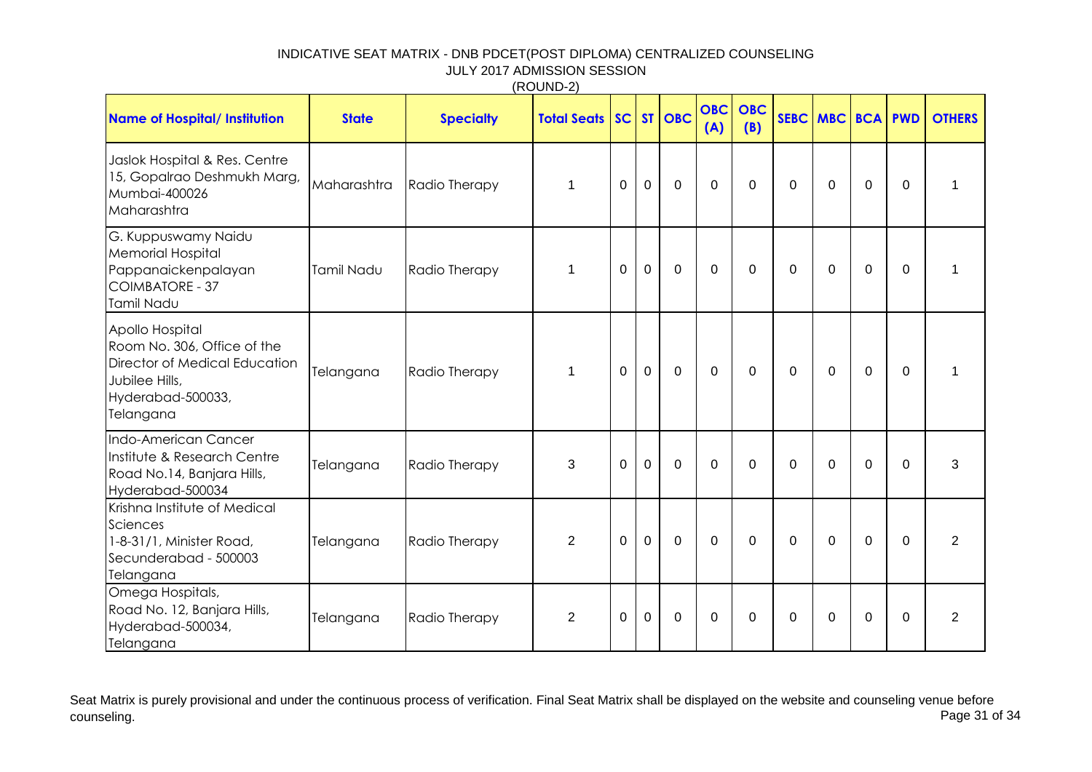|                                                                                                                                     |              |                  | (11001122)            |                |                |             |                   |                   |             |              |             |             |                |
|-------------------------------------------------------------------------------------------------------------------------------------|--------------|------------------|-----------------------|----------------|----------------|-------------|-------------------|-------------------|-------------|--------------|-------------|-------------|----------------|
| <b>Name of Hospital/ Institution</b>                                                                                                | <b>State</b> | <b>Specialty</b> | <b>Total Seats SC</b> |                |                | ST OBC      | <b>OBC</b><br>(A) | <b>OBC</b><br>(B) |             | SEBC MBC BCA |             | <b>PWD</b>  | <b>OTHERS</b>  |
| Jaslok Hospital & Res. Centre<br>15, Gopalrao Deshmukh Marg,<br>Mumbai-400026<br>Maharashtra                                        | Maharashtra  | Radio Therapy    | 1                     | $\mathbf 0$    | $\mathbf 0$    | $\mathbf 0$ | $\Omega$          | $\Omega$          | 0           | $\Omega$     | $\mathbf 0$ | $\Omega$    | $\mathbf 1$    |
| G. Kuppuswamy Naidu<br><b>Memorial Hospital</b><br>Pappanaickenpalayan<br>COIMBATORE - 37<br>Tamil Nadu                             | Tamil Nadu   | Radio Therapy    | $\mathbf{1}$          | $\overline{0}$ | $\overline{0}$ | $\mathbf 0$ | $\mathbf 0$       | 0                 | 0           | $\Omega$     | $\mathbf 0$ | $\Omega$    | 1              |
| Apollo Hospital<br>Room No. 306, Office of the<br>Director of Medical Education<br>Jubilee Hills,<br>Hyderabad-500033,<br>Telangana | Telangana    | Radio Therapy    | $\mathbf{1}$          | $\overline{0}$ | $\mathbf 0$    | $\mathbf 0$ | $\Omega$          | $\mathbf 0$       | $\Omega$    | $\Omega$     | $\mathbf 0$ | $\Omega$    | 1              |
| Indo-American Cancer<br>Institute & Research Centre<br>Road No.14, Banjara Hills,<br>Hyderabad-500034                               | Telangana    | Radio Therapy    | 3                     | $\mathbf 0$    | $\overline{0}$ | $\mathbf 0$ | $\mathbf 0$       | $\mathbf 0$       | 0           | $\mathbf 0$  | $\mathbf 0$ | $\mathbf 0$ | 3              |
| Krishna Institute of Medical<br>Sciences<br>1-8-31/1, Minister Road,<br>Secunderabad - 500003<br>Telangana                          | Telangana    | Radio Therapy    | $\overline{2}$        | $\mathbf 0$    | $\mathbf 0$    | $\mathbf 0$ | $\Omega$          | $\mathbf 0$       | $\mathbf 0$ | $\Omega$     | $\mathbf 0$ | $\mathbf 0$ | $\overline{2}$ |
| Omega Hospitals,<br>Road No. 12, Banjara Hills,<br>Hyderabad-500034,<br>Telangana                                                   | Telangana    | Radio Therapy    | $\overline{2}$        | 0              | 0              | $\mathbf 0$ | $\Omega$          | $\Omega$          | 0           | $\Omega$     | $\Omega$    | 0           | $\overline{2}$ |

Seat Matrix is purely provisional and under the continuous process of verification. Final Seat Matrix shall be displayed on the website and counseling venue before<br>Page 31 of 34 counseling. Page 31 of 34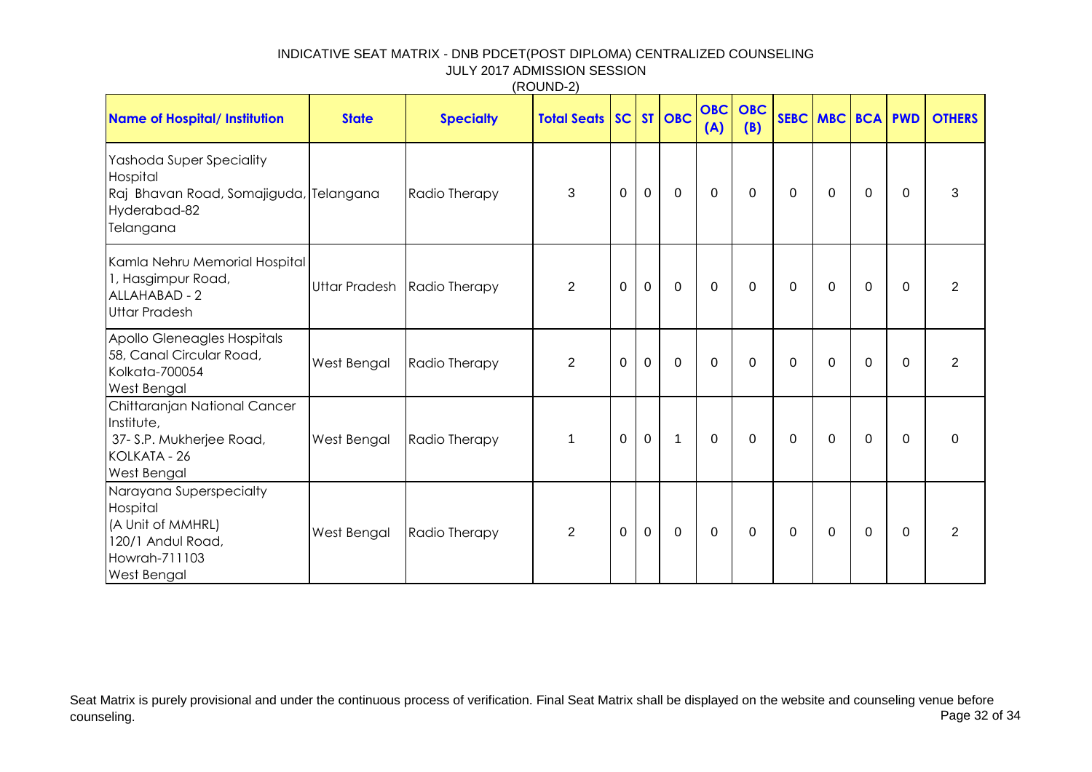| <b>Name of Hospital/ Institution</b>                                                                                 | <b>State</b> | <b>Specialty</b>            | <b>Total Seats SC ST OBC</b> |                |             |                | <b>OBC</b><br>(A) | <b>OBC</b><br>(B) |   | SEBC MBC BCA |             | <b>PWD</b>  | <b>OTHERS</b>  |
|----------------------------------------------------------------------------------------------------------------------|--------------|-----------------------------|------------------------------|----------------|-------------|----------------|-------------------|-------------------|---|--------------|-------------|-------------|----------------|
| Yashoda Super Speciality<br>Hospital<br>Raj Bhavan Road, Somajiguda, Telangana<br>Hyderabad-82<br>Telangana          |              | Radio Therapy               | 3                            | $\mathbf 0$    | $\mathbf 0$ | $\mathbf 0$    | $\mathbf 0$       | $\mathbf 0$       | 0 | 0            | $\mathbf 0$ | 0           | 3              |
| Kamla Nehru Memorial Hospital<br>1, Hasgimpur Road,<br>ALLAHABAD - 2<br><b>Uttar Pradesh</b>                         |              | Uttar Pradesh Radio Therapy | $\overline{2}$               | $\mathbf 0$    | $\mathbf 0$ | $\overline{0}$ | $\mathbf 0$       | $\mathbf 0$       | 0 | $\Omega$     | $\mathbf 0$ | $\Omega$    | 2              |
| Apollo Gleneagles Hospitals<br>58, Canal Circular Road,<br>Kolkata-700054<br>West Bengal                             | West Bengal  | Radio Therapy               | $\overline{2}$               | $\mathbf 0$    | $\mathbf 0$ | $\mathbf 0$    | $\mathbf 0$       | 0                 | 0 | 0            | $\mathbf 0$ | 0           | $\overline{2}$ |
| Chittaranjan National Cancer<br>Institute,<br>37- S.P. Mukherjee Road,<br>KOLKATA - 26<br>West Bengal                | West Bengal  | Radio Therapy               | $\mathbf{1}$                 | $\mathbf 0$    | $\mathbf 0$ | $\mathbf{1}$   | $\mathbf 0$       | $\Omega$          | 0 | $\Omega$     | $\mathbf 0$ | $\Omega$    | $\mathbf{0}$   |
| Narayana Superspecialty<br>Hospital<br>(A Unit of MMHRL)<br>120/1 Andul Road,<br>Howrah-711103<br><b>West Bengal</b> | West Bengal  | Radio Therapy               | $\overline{2}$               | $\overline{0}$ | $\mathbf 0$ | $\mathbf 0$    | $\mathbf 0$       | 0                 | 0 | 0            | $\mathbf 0$ | $\mathbf 0$ | $\overline{2}$ |

(ROUND-2)

Seat Matrix is purely provisional and under the continuous process of verification. Final Seat Matrix shall be displayed on the website and counseling venue before<br>Page 32 of 34 counseling. Page 32 of 34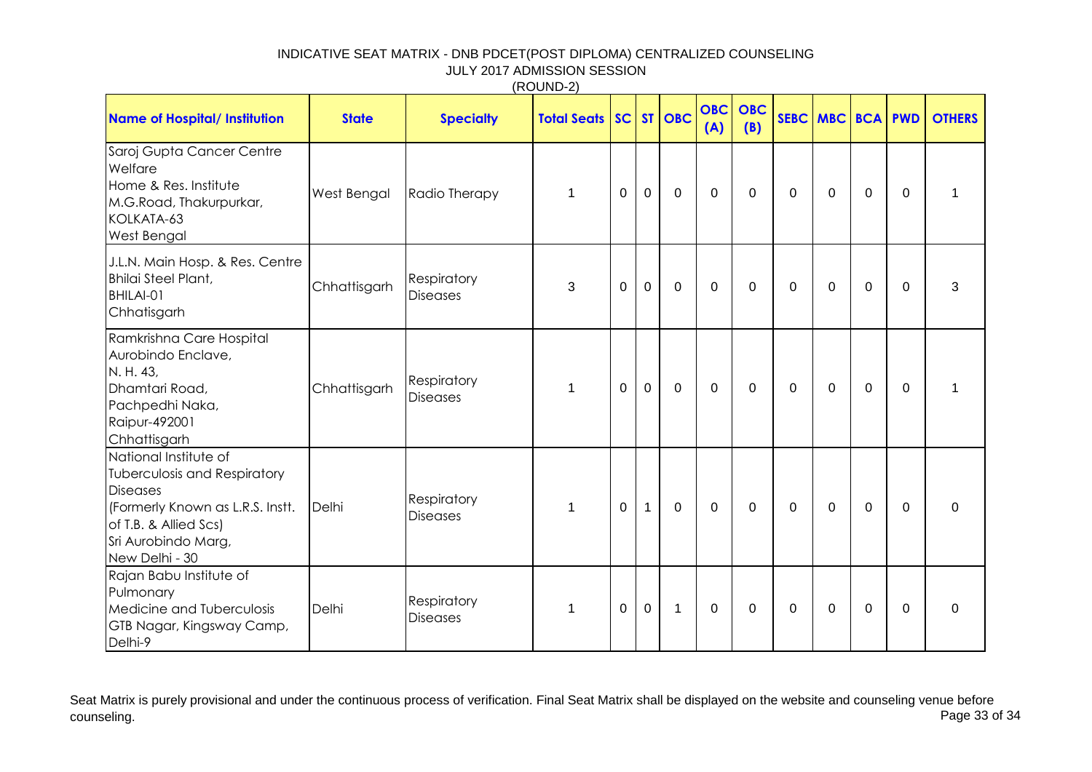| (ROUND-2) |
|-----------|
|-----------|

| <b>Name of Hospital/ Institution</b>                                                                                                                                                  | <b>State</b> | <b>Specialty</b>               | <b>Total Seats   SC  </b> |             |              | ST OBC       | <b>OBC</b><br>(A) | <b>OBC</b><br>(B) |             | SEBC MBC    | <b>BCA</b>     | <b>PWD</b>  | <b>OTHERS</b> |
|---------------------------------------------------------------------------------------------------------------------------------------------------------------------------------------|--------------|--------------------------------|---------------------------|-------------|--------------|--------------|-------------------|-------------------|-------------|-------------|----------------|-------------|---------------|
| Saroj Gupta Cancer Centre<br>Welfare<br>Home & Res. Institute<br>M.G.Road, Thakurpurkar,<br>KOLKATA-63<br><b>West Bengal</b>                                                          | West Bengal  | Radio Therapy                  | $\mathbf{1}$              | 0           | $\mathbf 0$  | $\mathbf 0$  | $\Omega$          | $\mathbf 0$       | 0           | $\Omega$    | 0              | $\Omega$    | 1             |
| J.L.N. Main Hosp. & Res. Centre<br><b>Bhilai Steel Plant,</b><br>BHILAI-01<br>Chhatisgarh                                                                                             | Chhattisgarh | Respiratory<br><b>Diseases</b> | 3                         | 0           | $\mathbf 0$  | 0            | $\Omega$          | $\Omega$          | 0           | $\Omega$    | 0              | $\Omega$    | 3             |
| Ramkrishna Care Hospital<br>Aurobindo Enclave,<br>N. H. 43,<br>Dhamtari Road,<br>Pachpedhi Naka,<br><b>Raipur-492001</b><br>Chhattisgarh                                              | Chhattisgarh | Respiratory<br><b>Diseases</b> | $\mathbf{1}$              | $\mathbf 0$ | $\mathbf 0$  | 0            | 0                 | $\mathbf 0$       | 0           | 0           | 0              | $\mathbf 0$ | 1             |
| National Institute of<br><b>Tuberculosis and Respiratory</b><br><b>Diseases</b><br>(Formerly Known as L.R.S. Instt.<br>of T.B. & Allied Scs)<br>Sri Aurobindo Marg,<br>New Delhi - 30 | Delhi        | Respiratory<br><b>Diseases</b> | $\mathbf{1}$              | $\mathbf 0$ | $\mathbf{1}$ | $\mathbf 0$  | $\mathbf 0$       | $\mathbf 0$       | $\mathbf 0$ | $\mathbf 0$ | $\overline{0}$ | $\Omega$    | $\Omega$      |
| Rajan Babu Institute of<br>Pulmonary<br>Medicine and Tuberculosis<br>GTB Nagar, Kingsway Camp,<br>Delhi-9                                                                             | Delhi        | Respiratory<br><b>Diseases</b> | $\mathbf{1}$              | 0           | $\mathbf 0$  | $\mathbf{1}$ | 0                 | 0                 | 0           | 0           | 0              | $\mathbf 0$ | 0             |

Seat Matrix is purely provisional and under the continuous process of verification. Final Seat Matrix shall be displayed on the website and counseling venue before<br>Page 33 of 34 counseling. Page 33 of 34